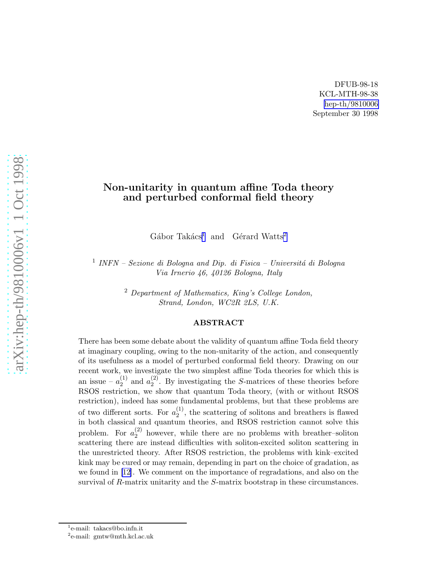DFUB-98-18 KCL-MTH-98-38 [hep-th/9810006](http://arxiv.org/abs/hep-th/9810006) September 30 1998

# Non-unitarity in quantum affine Toda theory and perturbed conformal field theory

 $Gábor Takács<sup>1</sup>$  and  $Gérard Watts<sup>2</sup>$ 

 $1$  INFN – Sezione di Bologna and Dip. di Fisica – Universitá di Bologna Via Irnerio 46, 40126 Bologna, Italy

> <sup>2</sup> Department of Mathematics, King's College London, Strand, London, WC2R 2LS, U.K.

# ABSTRACT

There has been some debate about the validity of quantum affine Toda field theory at imaginary coupling, owing to the non-unitarity of the action, and consequently of its usefulness as a model of perturbed conformal field theory. Drawing on our recent work, we investigate the two simplest affine Toda theories for which this is an issue –  $a_2^{(1)}$  $a_2^{(1)}$  and  $a_2^{(2)}$  $2<sup>(2)</sup>$ . By investigating the S-matrices of these theories before RSOS restriction, we show that quantum Toda theory, (with or without RSOS restriction), indeed has some fundamental problems, but that these problems are of two different sorts. For  $a_2^{(1)}$  $2^{(1)}$ , the scattering of solitons and breathers is flawed in both classical and quantum theories, and RSOS restriction cannot solve this problem. For  $a_2^{(2)}$  $_2^{(2)}$  however, while there are no problems with breather–soliton scattering there are instead difficulties with soliton-excited soliton scattering in the unrestricted theory. After RSOS restriction, the problems with kink–excited kink may be cured or may remain, depending in part on the choice of gradation, as we found in [\[12\]](#page-27-0). We comment on the importance of regradations, and also on the survival of R-matrix unitarity and the S-matrix bootstrap in these circumstances.

<sup>1</sup> e-mail: takacs@bo.infn.it

<sup>2</sup> e-mail: gmtw@mth.kcl.ac.uk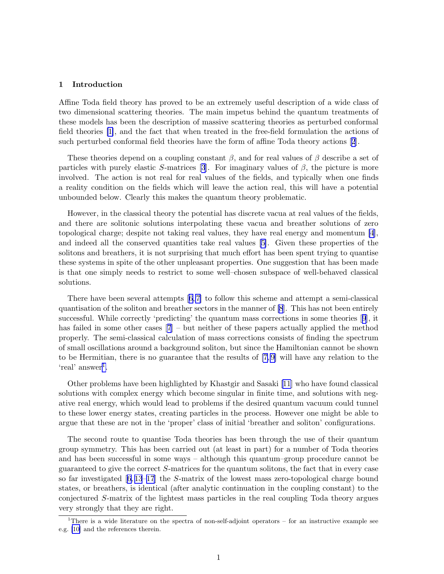### 1 Introduction

Affine Toda field theory has proved to be an extremely useful description of a wide class of two dimensional scattering theories. The main impetus behind the quantum treatments of these models has been the description of massive scattering theories as perturbed conformal field theories [\[1\]](#page-27-0), and the fact that when treated in the free-field formulation the actions of such perturbed conformal field theories have the form of affine Toda theory actions[[2](#page-27-0)].

These theories depend on a coupling constant  $\beta$ , and for real values of  $\beta$  describe a set of particleswith purely elastic S-matrices [[3](#page-27-0)]. For imaginary values of  $\beta$ , the picture is more involved. The action is not real for real values of the fields, and typically when one finds a reality condition on the fields which will leave the action real, this will have a potential unbounded below. Clearly this makes the quantum theory problematic.

However, in the classical theory the potential has discrete vacua at real values of the fields, and there are solitonic solutions interpolating these vacua and breather solutions of zero topological charge; despite not taking real values, they have real energy and momentum [\[4\]](#page-27-0), and indeed all the conserved quantities take real values [\[5\]](#page-27-0). Given these properties of the solitons and breathers, it is not surprising that much effort has been spent trying to quantise these systems in spite of the other unpleasant properties. One suggestion that has been made is that one simply needs to restrict to some well–chosen subspace of well-behaved classical solutions.

There have been several attempts[[6](#page-27-0), [7\]](#page-27-0) to follow this scheme and attempt a semi-classical quantisation of the soliton and breather sectors in the manner of [\[8](#page-27-0)]. This has not been entirely successful. While correctly 'predicting' the quantum mass corrections in some theories[[9\]](#page-27-0), it hasfailed in some other cases  $[7]$  $[7]$  $[7]$  – but neither of these papers actually applied the method properly. The semi-classical calculation of mass corrections consists of finding the spectrum of small oscillations around a background soliton, but since the Hamiltonian cannot be shown to be Hermitian, there is no guarantee that the results of [\[7,](#page-27-0) [9\]](#page-27-0) will have any relation to the 'real' answer<sup>1</sup>.

Other problems have been highlighted by Khastgir and Sasaki [\[11](#page-27-0)] who have found classical solutions with complex energy which become singular in finite time, and solutions with negative real energy, which would lead to problems if the desired quantum vacuum could tunnel to these lower energy states, creating particles in the process. However one might be able to argue that these are not in the 'proper' class of initial 'breather and soliton' configurations.

The second route to quantise Toda theories has been through the use of their quantum group symmetry. This has been carried out (at least in part) for a number of Toda theories and has been successful in some ways – although this quantum–group procedure cannot be guaranteed to give the correct S-matrices for the quantum solitons, the fact that in every case so far investigated[[6, 13](#page-27-0)–[17](#page-27-0)] the S-matrix of the lowest mass zero-topological charge bound states, or breathers, is identical (after analytic continuation in the coupling constant) to the conjectured S-matrix of the lightest mass particles in the real coupling Toda theory argues very strongly that they are right.

<sup>&</sup>lt;sup>1</sup>There is a wide literature on the spectra of non-self-adjoint operators – for an instructive example see e.g. [\[10\]](#page-27-0) and the references therein.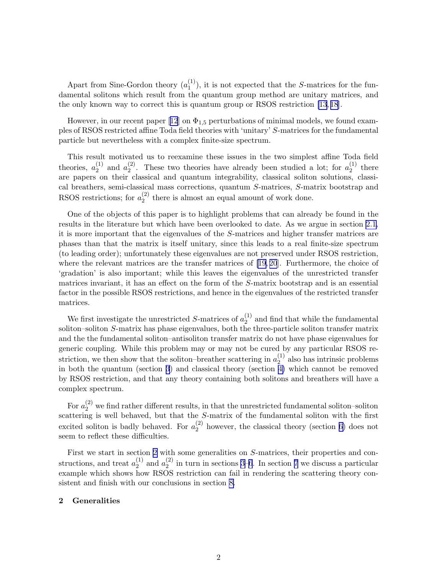Apart from Sine-Gordon theory  $(a_1^{(1)})$  $1^{(1)}$ ), it is not expected that the S-matrices for the fundamental solitons which result from the quantum group method are unitary matrices, and the only known way to correct this is quantum group or RSOS restriction [\[13](#page-27-0), [18](#page-27-0)].

However,in our recent paper [[12](#page-27-0)] on  $\Phi_{1,5}$  perturbations of minimal models, we found examples of RSOS restricted affine Toda field theories with 'unitary' S-matrices for the fundamental particle but nevertheless with a complex finite-size spectrum.

This result motivated us to reexamine these issues in the two simplest affine Toda field theories,  $a_2^{(1)}$  $a_2^{(1)}$  and  $a_2^{(2)}$  $\binom{2}{2}$ . These two theories have already been studied a lot; for  $a_2^{(1)}$  $2^{(1)}$  there are papers on their classical and quantum integrability, classical soliton solutions, classical breathers, semi-classical mass corrections, quantum S-matrices, S-matrix bootstrap and RSOS restrictions; for  $a_2^{(2)}$  $\binom{2}{2}$  there is almost an equal amount of work done.

One of the objects of this paper is to highlight problems that can already be found in the results in the literature but which have been overlooked to date. As we argue in section 2.1, it is more important that the eigenvalues of the S-matrices and higher transfer matrices are phases than that the matrix is itself unitary, since this leads to a real finite-size spectrum (to leading order); unfortunately these eigenvalues are not preserved under RSOS restriction, where the relevant matrices are the transfer matrices of [\[19,](#page-27-0) [20](#page-28-0)]. Furthermore, the choice of 'gradation' is also important; while this leaves the eigenvalues of the unrestricted transfer matrices invariant, it has an effect on the form of the S-matrix bootstrap and is an essential factor in the possible RSOS restrictions, and hence in the eigenvalues of the restricted transfer matrices.

We first investigate the unrestricted S-matrices of  $a_2^{(1)}$  $_2^{(1)}$  and find that while the fundamental soliton–soliton S-matrix has phase eigenvalues, both the three-particle soliton transfer matrix and the the fundamental soliton–antisoliton transfer matrix do not have phase eigenvalues for generic coupling. While this problem may or may not be cured by any particular RSOS restriction, we then show that the soliton–breather scattering in  $a_2^{(1)}$  $_2^{(1)}$  also has intrinsic problems in both the quantum (section [3](#page-8-0)) and classical theory (section [4\)](#page-10-0) which cannot be removed by RSOS restriction, and that any theory containing both solitons and breathers will have a complex spectrum.

For  $a_2^{(2)}$  we find rather different results, in that the unrestricted fundamental soliton–soliton scattering is well behaved, but that the  $S$ -matrix of the fundamental soliton with the first excited soliton is badly behaved. For  $a_2^{(2)}$  $_2^{(2)}$  however, the classical theory (section [6\)](#page-19-0) does not seem to reflect these difficulties.

First we start in section 2 with some generalities on S-matrices, their properties and constructions, and treat  $a_2^{(1)}$  $_2^{(1)}$  and  $a_2^{(2)}$  $\frac{1}{2}$  in turn in sections [3–](#page-8-0)[6](#page-19-0). In section [7](#page-20-0) we discuss a particular example which shows how RSOS restriction can fail in rendering the scattering theory consistent and finish with our conclusions in section [8.](#page-20-0)

### 2 Generalities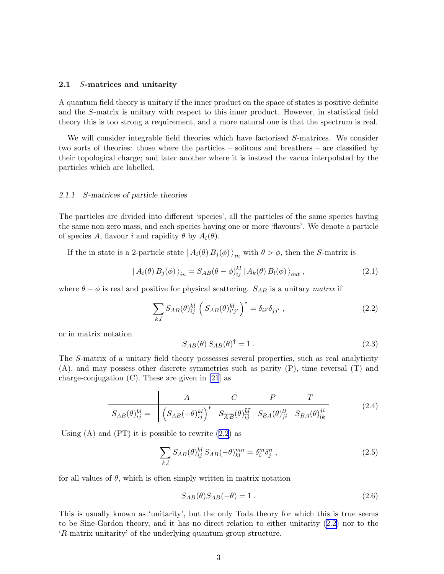### <span id="page-3-0"></span>2.1 S-matrices and unitarity

A quantum field theory is unitary if the inner product on the space of states is positive definite and the S-matrix is unitary with respect to this inner product. However, in statistical field theory this is too strong a requirement, and a more natural one is that the spectrum is real.

We will consider integrable field theories which have factorised S-matrices. We consider two sorts of theories: those where the particles – solitons and breathers – are classified by their topological charge; and later another where it is instead the vacua interpolated by the particles which are labelled.

# 2.1.1 S-matrices of particle theories

The particles are divided into different 'species', all the particles of the same species having the same non-zero mass, and each species having one or more 'flavours'. We denote a particle of species A, flavour i and rapidity  $\theta$  by  $A_i(\theta)$ .

If the in state is a 2-particle state  $|A_i(\theta) B_j(\phi)\rangle_{in}$  with  $\theta > \phi$ , then the S-matrix is

$$
\langle A_i(\theta) B_j(\phi) \rangle_{in} = S_{AB}(\theta - \phi)_{ij}^{kl} \langle A_k(\theta) B_l(\phi) \rangle_{out}, \qquad (2.1)
$$

where  $\theta - \phi$  is real and positive for physical scattering.  $S_{AB}$  is a unitary matrix if

$$
\sum_{k,l} S_{AB}(\theta)_{ij}^{kl} \left( S_{AB}(\theta)_{i'j'}^{kl} \right)^* = \delta_{ii'} \delta_{jj'} , \qquad (2.2)
$$

or in matrix notation

$$
S_{AB}(\theta) S_{AB}(\theta)^{\dagger} = 1. \tag{2.3}
$$

The S-matrix of a unitary field theory possesses several properties, such as real analyticity (A), and may possess other discrete symmetries such as parity (P), time reversal (T) and charge-conjugation (C). These are given in [\[21](#page-28-0)] as

$$
S_{AB}(\theta)_{ij}^{kl} = \begin{pmatrix} A & C & P & T \\ \left( S_{AB}(-\theta)_{ij}^{kl} \right)^* & S_{\overline{A}\overline{B}}(\theta)_{\overline{ij}}^{\overline{k}\overline{l}} & S_{BA}(\theta)_{ji}^{lk} & S_{BA}(\theta)_{lk}^{ji} \end{pmatrix}
$$
(2.4)

Using  $(A)$  and  $(PT)$  it is possible to rewrite  $(2.2)$  as

$$
\sum_{k,l} S_{AB}(\theta)_{ij}^{kl} S_{AB}(-\theta)_{kl}^{mn} = \delta_i^m \delta_j^n , \qquad (2.5)
$$

for all values of  $\theta$ , which is often simply written in matrix notation

$$
S_{AB}(\theta)S_{AB}(-\theta) = 1.
$$
\n(2.6)

This is usually known as 'unitarity', but the only Toda theory for which this is true seems to be Sine-Gordon theory, and it has no direct relation to either unitarity (2.2) nor to the 'R-matrix unitarity' of the underlying quantum group structure.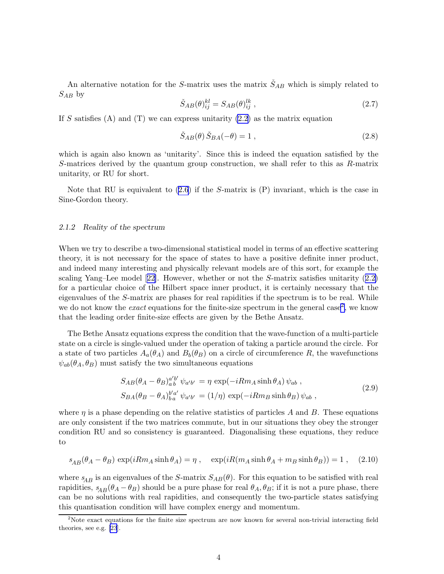<span id="page-4-0"></span>An alternative notation for the S-matrix uses the matrix  $\check{S}_{AB}$  which is simply related to  $S_{AB}$  by

$$
\check{S}_{AB}(\theta)_{ij}^{kl} = S_{AB}(\theta)_{ij}^{lk} \,, \tag{2.7}
$$

If S satisfies (A) and (T) we can express unitarity  $(2.2)$  as the matrix equation

$$
\check{S}_{AB}(\theta)\check{S}_{BA}(-\theta) = 1\,,\tag{2.8}
$$

which is again also known as 'unitarity'. Since this is indeed the equation satisfied by the S-matrices derived by the quantum group construction, we shall refer to this as R-matrix unitarity, or RU for short.

Note that RU is equivalent to [\(2.6\)](#page-3-0) if the S-matrix is (P) invariant, which is the case in Sine-Gordon theory.

## 2.1.2 Reality of the spectrum

When we try to describe a two-dimensional statistical model in terms of an effective scattering theory, it is not necessary for the space of states to have a positive definite inner product, and indeed many interesting and physically relevant models are of this sort, for example the scalingYang–Lee model  $[22]$  $[22]$ . However, whether or not the S-matrix satisfies unitarity  $(2.2)$  $(2.2)$ for a particular choice of the Hilbert space inner product, it is certainly necessary that the eigenvalues of the S-matrix are phases for real rapidities if the spectrum is to be real. While we do not know the *exact* equations for the finite-size spectrum in the general case<sup>2</sup>, we know that the leading order finite-size effects are given by the Bethe Ansatz.

The Bethe Ansatz equations express the condition that the wave-function of a multi-particle state on a circle is single-valued under the operation of taking a particle around the circle. For a state of two particles  $A_a(\theta_A)$  and  $B_b(\theta_B)$  on a circle of circumference R, the wavefunctions  $\psi_{ab}(\theta_A, \theta_B)$  must satisfy the two simultaneous equations

$$
S_{AB}(\theta_A - \theta_B)^{a'b'}_{ab} \psi_{a'b'} = \eta \exp(-iRm_A \sinh \theta_A) \psi_{ab} ,
$$
  
\n
$$
S_{BA}(\theta_B - \theta_A)^{b'a'}_{ba} \psi_{a'b'} = (1/\eta) \exp(-iRm_B \sinh \theta_B) \psi_{ab} ,
$$
\n(2.9)

where  $\eta$  is a phase depending on the relative statistics of particles A and B. These equations are only consistent if the two matrices commute, but in our situations they obey the stronger condition RU and so consistency is guaranteed. Diagonalising these equations, they reduce to

$$
s_{AB}(\theta_A - \theta_B) \exp(iRm_A \sinh \theta_A) = \eta , \quad \exp(iR(m_A \sinh \theta_A + m_B \sinh \theta_B)) = 1 , \quad (2.10)
$$

where  $s_{AB}$  is an eigenvalues of the S-matrix  $S_{AB}(\theta)$ . For this equation to be satisfied with real rapidities,  $s_{AB}(\theta_A - \theta_B)$  should be a pure phase for real  $\theta_A, \theta_B$ ; if it is not a pure phase, there can be no solutions with real rapidities, and consequently the two-particle states satisfying this quantisation condition will have complex energy and momentum.

<sup>&</sup>lt;sup>2</sup>Note exact equations for the finite size spectrum are now known for several non-trivial interacting field theories, see e.g. [\[23](#page-28-0)].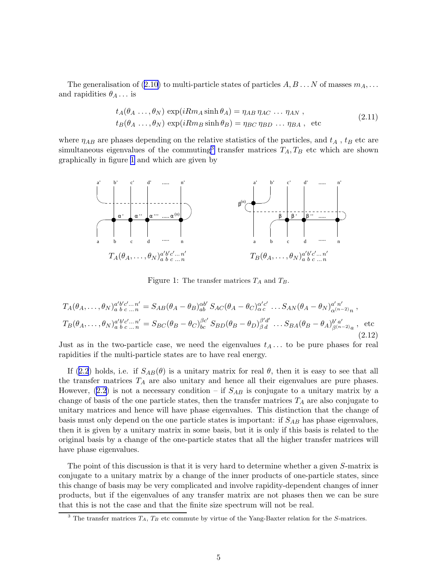Thegeneralisation of ([2.10](#page-4-0)) to multi-particle states of particles  $A, B, \ldots N$  of masses  $m_A, \ldots$ and rapidities  $\theta_A \dots$  is

$$
t_A(\theta_A \dots, \theta_N) \exp(iRm_A \sinh \theta_A) = \eta_{AB} \eta_{AC} \dots \eta_{AN} ,
$$
  
\n
$$
t_B(\theta_A \dots, \theta_N) \exp(iRm_B \sinh \theta_B) = \eta_{BC} \eta_{BD} \dots \eta_{BA} ,
$$
 etc (2.11)

where  $\eta_{AB}$  are phases depending on the relative statistics of the particles, and  $t_A$ ,  $t_B$  etc are simultaneous eigenvalues of the commuting<sup>3</sup> transfer matrices  $T_A, T_B$  etc which are shown graphically in figure 1 and which are given by



Figure 1: The transfer matrices  $T_A$  and  $T_B$ .

$$
T_A(\theta_A, \dots, \theta_N)_a^{a'b'c' \dots n'} = S_{AB}(\theta_A - \theta_B)_{ab}^{ab'} S_{AC}(\theta_A - \theta_C)_{\alpha c}^{\alpha' c'} \dots S_{AN}(\theta_A - \theta_N)_{\alpha^{(n-2)}n}^{a'n'},
$$
  
\n
$$
T_B(\theta_A, \dots, \theta_N)_a^{a'b'c' \dots n'} = S_{BC}(\theta_B - \theta_C)_{bc}^{\beta c'} S_{BD}(\theta_B - \theta_D)_{\beta d}^{\beta d'} \dots S_{BA}(\theta_B - \theta_A)_{\beta^{(n-2)}a}^{b'a'},
$$
 etc. (2.12)

Just as in the two-particle case, we need the eigenvalues  $t_A \dots$  to be pure phases for real rapidities if the multi-particle states are to have real energy.

If([2.2](#page-3-0)) holds, i.e. if  $S_{AB}(\theta)$  is a unitary matrix for real  $\theta$ , then it is easy to see that all the transfer matrices  $T_A$  are also unitary and hence all their eigenvalues are pure phases. However,  $(2.2)$  is not a necessary condition – if  $S_{AB}$  is conjugate to a unitary matrix by a change of basis of the one particle states, then the transfer matrices  $T_A$  are also conjugate to unitary matrices and hence will have phase eigenvalues. This distinction that the change of basis must only depend on the one particle states is important: if  $S_{AB}$  has phase eigenvalues, then it is given by a unitary matrix in some basis, but it is only if this basis is related to the original basis by a change of the one-particle states that all the higher transfer matrices will have phase eigenvalues.

The point of this discussion is that it is very hard to determine whether a given S-matrix is conjugate to a unitary matrix by a change of the inner products of one-particle states, since this change of basis may be very complicated and involve rapidity-dependent changes of inner products, but if the eigenvalues of any transfer matrix are not phases then we can be sure that this is not the case and that the finite size spectrum will not be real.

 $3$  The transfer matrices  $T_A$ ,  $T_B$  etc commute by virtue of the Yang-Baxter relation for the S-matrices.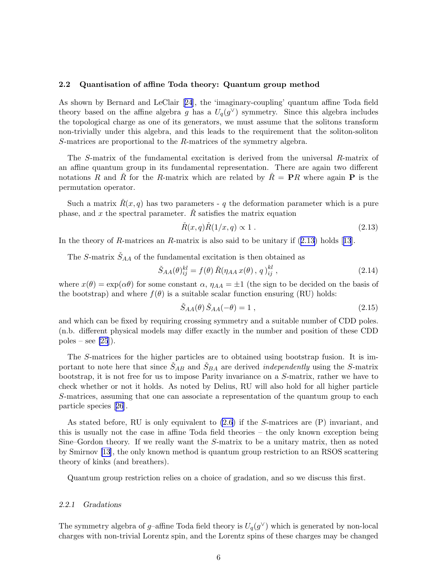# 2.2 Quantisation of affine Toda theory: Quantum group method

As shown by Bernard and LeClair[[24](#page-28-0)], the 'imaginary-coupling' quantum affine Toda field theory based on the affine algebra g has a  $U_q(g^{\vee})$  symmetry. Since this algebra includes the topological charge as one of its generators, we must assume that the solitons transform non-trivially under this algebra, and this leads to the requirement that the soliton-soliton S-matrices are proportional to the R-matrices of the symmetry algebra.

The S-matrix of the fundamental excitation is derived from the universal R-matrix of an affine quantum group in its fundamental representation. There are again two different notations R and R for the R-matrix which are related by  $\check{R} = PR$  where again P is the permutation operator.

Such a matrix  $\hat{R}(x, q)$  has two parameters - q the deformation parameter which is a pure phase, and x the spectral parameter.  $\check{R}$  satisfies the matrix equation

$$
\check{R}(x,q)\check{R}(1/x,q) \propto 1\ . \tag{2.13}
$$

Inthe theory of R-matrices an R-matrix is also said to be unitary if  $(2.13)$  $(2.13)$  $(2.13)$  holds [13].

The S-matrix  $\check{S}_{AA}$  of the fundamental excitation is then obtained as

$$
\check{S}_{AA}(\theta)_{ij}^{kl} = f(\theta) \check{R}(\eta_{AA} x(\theta), q)_{ij}^{kl}, \qquad (2.14)
$$

where  $x(\theta) = \exp(\alpha \theta)$  for some constant  $\alpha$ ,  $\eta_{AA} = \pm 1$  (the sign to be decided on the basis of the bootstrap) and where  $f(\theta)$  is a suitable scalar function ensuring (RU) holds:

$$
\check{S}_{AA}(\theta)\check{S}_{AA}(-\theta) = 1\,,\tag{2.15}
$$

and which can be fixed by requiring crossing symmetry and a suitable number of CDD poles. (n.b. different physical models may differ exactly in the number and position of these CDD poles – see [\[25](#page-28-0)]).

The S-matrices for the higher particles are to obtained using bootstrap fusion. It is important to note here that since  $\check{S}_{AB}$  and  $\check{S}_{BA}$  are derived *independently* using the S-matrix bootstrap, it is not free for us to impose Parity invariance on a S-matrix, rather we have to check whether or not it holds. As noted by Delius, RU will also hold for all higher particle S-matrices, assuming that one can associate a representation of the quantum group to each particle species[[26](#page-28-0)].

As stated before, RU is only equivalent to [\(2.6](#page-3-0)) if the S-matrices are (P) invariant, and this is usually not the case in affine Toda field theories – the only known exception being Sine–Gordon theory. If we really want the S-matrix to be a unitary matrix, then as noted by Smirnov [\[13](#page-27-0)], the only known method is quantum group restriction to an RSOS scattering theory of kinks (and breathers).

Quantum group restriction relies on a choice of gradation, and so we discuss this first.

### 2.2.1 Gradations

The symmetry algebra of g-affine Toda field theory is  $U_q(g^{\vee})$  which is generated by non-local charges with non-trivial Lorentz spin, and the Lorentz spins of these charges may be changed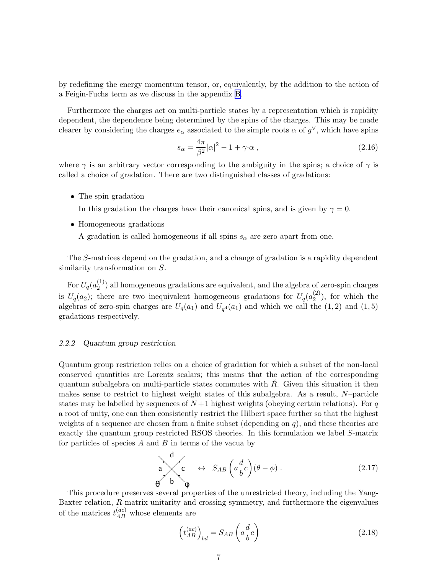<span id="page-7-0"></span>by redefining the energy momentum tensor, or, equivalently, by the addition to the action of a Feigin-Fuchs term as we discuss in the appendix [B.](#page-25-0)

Furthermore the charges act on multi-particle states by a representation which is rapidity dependent, the dependence being determined by the spins of the charges. This may be made clearer by considering the charges  $e_{\alpha}$  associated to the simple roots  $\alpha$  of  $g^{\vee}$ , which have spins

$$
s_{\alpha} = \frac{4\pi}{\beta^2} |\alpha|^2 - 1 + \gamma \cdot \alpha , \qquad (2.16)
$$

where  $\gamma$  is an arbitrary vector corresponding to the ambiguity in the spins; a choice of  $\gamma$  is called a choice of gradation. There are two distinguished classes of gradations:

• The spin gradation

In this gradation the charges have their canonical spins, and is given by  $\gamma = 0$ .

- Homogeneous gradations
	- A gradation is called homogeneous if all spins  $s_{\alpha}$  are zero apart from one.

The S-matrices depend on the gradation, and a change of gradation is a rapidity dependent similarity transformation on S.

For  $U_q(a_2^{(1)}$  $\binom{1}{2}$  all homogeneous gradations are equivalent, and the algebra of zero-spin charges is  $U_q(a_2)$ ; there are two inequivalent homogeneous gradations for  $U_q(a_2^{(2)})$  $\binom{2}{2}$ , for which the algebras of zero-spin charges are  $U_q(a_1)$  and  $U_{q^4}(a_1)$  and which we call the  $(1, 2)$  and  $(1, 5)$ gradations respectively.

# 2.2.2 Quantum group restriction

Quantum group restriction relies on a choice of gradation for which a subset of the non-local conserved quantities are Lorentz scalars; this means that the action of the corresponding quantum subalgebra on multi-particle states commutes with  $R<sub>c</sub>$ . Given this situation it then makes sense to restrict to highest weight states of this subalgebra. As a result,  $N$ -particle states may be labelled by sequences of  $N+1$  highest weights (obeying certain relations). For q a root of unity, one can then consistently restrict the Hilbert space further so that the highest weights of a sequence are chosen from a finite subset (depending on  $q$ ), and these theories are exactly the quantum group restricted RSOS theories. In this formulation we label S-matrix for particles of species  $A$  and  $B$  in terms of the vacua by

d

$$
\begin{array}{ccc}\n\mathbf{a} & \mathbf{c} & \leftrightarrow & S_{AB} \left( a \frac{d}{b} c \right) (\theta - \phi) . \\
\theta & \mathbf{b} & \phi\n\end{array} \tag{2.17}
$$

This procedure preserves several properties of the unrestricted theory, including the Yang-Baxter relation, R-matrix unitarity and crossing symmetry, and furthermore the eigenvalues of the matrices  $t_{AB}^{(ac)}$  whose elements are

$$
\left(t_{AB}^{(ac)}\right)_{bd} = S_{AB} \left(a \frac{d}{b} c\right) \tag{2.18}
$$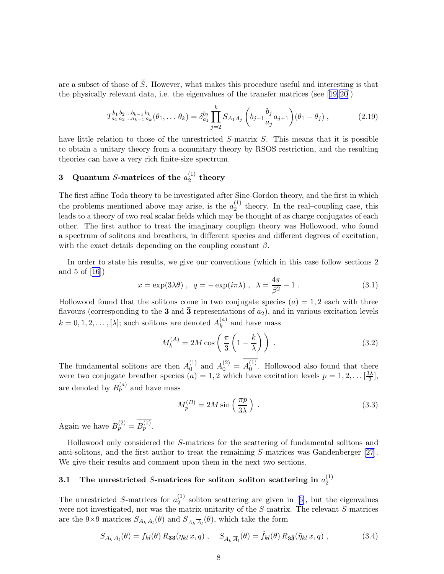<span id="page-8-0"></span>are a subset of those of  $\check{S}$ . However, what makes this procedure useful and interesting is that the physically relevant data, i.e. the eigenvalues of the transfer matrices (see[[19,](#page-27-0) [20\]](#page-28-0))

$$
T_{a_1 a_2 \ldots a_{k-1} a_k}^{b_1 b_2 \ldots b_{k-1} b_k}(\theta_1, \ldots \theta_k) = \delta_{a_1}^{b_2} \prod_{j=2}^k S_{A_1 A_j} \left( b_{j-1} \frac{b_j}{a_j} a_{j+1} \right) (\theta_1 - \theta_j) , \qquad (2.19)
$$

have little relation to those of the unrestricted S-matrix S. This means that it is possible to obtain a unitary theory from a nonunitary theory by RSOS restriction, and the resulting theories can have a very rich finite-size spectrum.

#### 3 Quantum S-matrices of the  $a_2^{(1)}$  $_2^{(1)}$  theory

The first affine Toda theory to be investigated after Sine-Gordon theory, and the first in which the problems mentioned above may arise, is the  $a_2^{(1)}$  $_2^{(1)}$  theory. In the real–coupling case, this leads to a theory of two real scalar fields which may be thought of as charge conjugates of each other. The first author to treat the imaginary couplign theory was Hollowood, who found a spectrum of solitons and breathers, in different species and different degrees of excitation, with the exact details depending on the coupling constant  $\beta$ .

In order to state his results, we give our conventions (which in this case follow sections 2 and 5 of[[16\]](#page-27-0))

$$
x = \exp(3\lambda\theta) , \quad q = -\exp(i\pi\lambda) , \quad \lambda = \frac{4\pi}{\beta^2} - 1 . \tag{3.1}
$$

Hollowood found that the solitons come in two conjugate species  $(a) = 1, 2$  each with three flavours (corresponding to the 3 and  $\bar{3}$  representations of  $a_2$ ), and in various excitation levels  $k = 0, 1, 2, \ldots, [\lambda];$  such solitons are denoted  $A_k^{(a)}$  $k^{(u)}$  and have mass

$$
M_k^{(A)} = 2M \cos\left(\frac{\pi}{3}\left(1 - \frac{k}{\lambda}\right)\right) \,. \tag{3.2}
$$

The fundamental solitons are then  $A_0^{(1)}$  $_0^{(1)}$  and  $A_0^{(2)} = A_0^{(1)}$  $_0^{(1)}$ . Hollowood also found that there were two conjugate breather species  $(a) = 1, 2$  which have excitation levels  $p = 1, 2, \ldots \left[\frac{3\lambda}{2}\right]$  $\frac{3\lambda}{2}$ , are denoted by  $B_p^{(a)}$  and have mass

$$
M_p^{(B)} = 2M \sin\left(\frac{\pi p}{3\lambda}\right) \tag{3.3}
$$

Again we have  $B_p^{(2)} = B_p^{(1)}$ .

Hollowood only considered the S-matrices for the scattering of fundamental solitons and anti-solitons, and the first author to treat the remaining S-matrices was Gandenberger[[27\]](#page-28-0). We give their results and comment upon them in the next two sections.

#### 3.1 The unrestricted S-matrices for soliton–soliton scattering in  $a_2^{(1)}$ 2

The unrestricted S-matrices for  $a_2^{(1)}$  $_2^{(1)}$ soliton scattering are given in [[6\]](#page-27-0), but the eigenvalues were not investigated, nor was the matrix-unitarity of the S-matrix. The relevant S-matrices are the 9×9 matrices  $S_{A_k A_l}(\theta)$  and  $S_{A_k \overline{A}_l}(\theta)$ , which take the form

$$
S_{A_k A_l}(\theta) = f_{kl}(\theta) R_{33}(\eta_{kl} x, q) , \quad S_{A_k \overline{A}_l}(\theta) = \tilde{f}_{kl}(\theta) R_{3\overline{3}}(\tilde{\eta}_{kl} x, q) , \qquad (3.4)
$$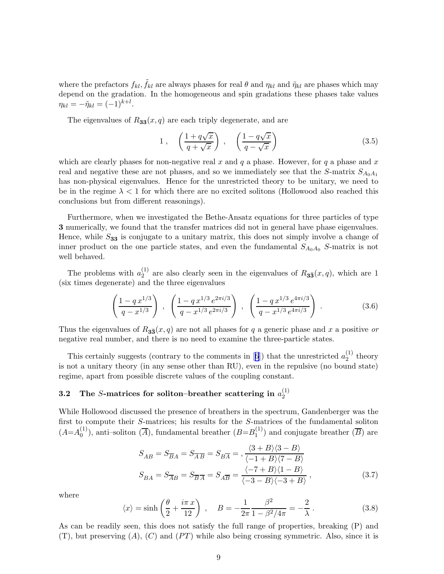<span id="page-9-0"></span>where the prefactors  $f_{kl}$ ,  $\tilde{f}_{kl}$  are always phases for real  $\theta$  and  $\eta_{kl}$  and  $\tilde{\eta}_{kl}$  are phases which may depend on the gradation. In the homogeneous and spin gradations these phases take values  $\eta_{kl} = -\tilde{\eta}_{kl} = (-1)^{k+l}.$ 

The eigenvalues of  $R_{33}(x, q)$  are each triply degenerate, and are

1, 
$$
\left(\frac{1+q\sqrt{x}}{q+\sqrt{x}}\right)
$$
,  $\left(\frac{1-q\sqrt{x}}{q-\sqrt{x}}\right)$  (3.5)

which are clearly phases for non-negative real x and q a phase. However, for q a phase and x real and negative these are not phases, and so we immediately see that the S-matrix  $S_{A_0A_1}$ has non-physical eigenvalues. Hence for the unrestricted theory to be unitary, we need to be in the regime  $\lambda < 1$  for which there are no excited solitons (Hollowood also reached this conclusions but from different reasonings).

Furthermore, when we investigated the Bethe-Ansatz equations for three particles of type 3 numerically, we found that the transfer matrices did not in general have phase eigenvalues. Hence, while  $S_{33}$  is conjugate to a unitary matrix, this does not simply involve a change of inner product on the one particle states, and even the fundamental  $S_{A_0A_0}$  S-matrix is not well behaved.

The problems with  $a_2^{(1)}$  $2^{(1)}$  are also clearly seen in the eigenvalues of  $R_{33}(x,q)$ , which are 1 (six times degenerate) and the three eigenvalues

$$
\left(\frac{1-q x^{1/3}}{q-x^{1/3}}\right) , \left(\frac{1-q x^{1/3} e^{2\pi i/3}}{q-x^{1/3} e^{2\pi i/3}}\right) , \left(\frac{1-q x^{1/3} e^{4\pi i/3}}{q-x^{1/3} e^{4\pi i/3}}\right) . \tag{3.6}
$$

Thus the eigenvalues of  $R_{3\bar{3}}(x,q)$  are not all phases for q a generic phase and x a positive or negative real number, and there is no need to examine the three-particle states.

Thiscertainly suggests (contrary to the comments in [[6](#page-27-0)]) that the unrestricted  $a_2^{(1)}$  $_2^{(1)}$  theory is not a unitary theory (in any sense other than RU), even in the repulsive (no bound state) regime, apart from possible discrete values of the coupling constant.

#### 3.2 The S-matrices for soliton–breather scattering in  $a_2^{(1)}$ 2

While Hollowood discussed the presence of breathers in the spectrum, Gandenberger was the first to compute their S-matrices; his results for the S-matrices of the fundamental soliton  $(A = A_0^{(1)}$  $\binom{1}{0}$ , anti-soliton  $\left(\overline{A}\right)$ , fundamental breather  $\left(B = B_1^{(1)}\right)$  $1^{(1)}$  and conjugate breather  $(B)$  are

$$
S_{AB} = S_{\overline{BA}} = S_{\overline{AB}} = S_{B\overline{A}} = , \frac{\langle 3 + B \rangle \langle 3 - B \rangle}{\langle -1 + B \rangle \langle 7 - B \rangle}
$$
  
\n
$$
S_{BA} = S_{\overline{AB}} = S_{\overline{BA}} = S_{A\overline{B}} = \frac{\langle -7 + B \rangle \langle 1 - B \rangle}{\langle -3 - B \rangle \langle -3 + B \rangle} , \tag{3.7}
$$

where

$$
\langle x \rangle = \sinh\left(\frac{\theta}{2} + \frac{i\pi x}{12}\right) , \quad B = -\frac{1}{2\pi} \frac{\beta^2}{1 - \beta^2 / 4\pi} = -\frac{2}{\lambda} . \tag{3.8}
$$

As can be readily seen, this does not satisfy the full range of properties, breaking (P) and  $(T)$ , but preserving  $(A)$ ,  $(C)$  and  $(PT)$  while also being crossing symmetric. Also, since it is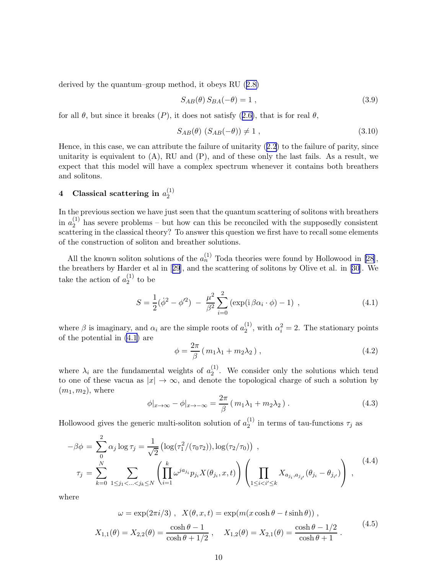<span id="page-10-0"></span>derived by the quantum–group method, it obeys RU([2.8\)](#page-4-0)

$$
S_{AB}(\theta) S_{BA}(-\theta) = 1 , \qquad (3.9)
$$

forall  $\theta$ , but since it breaks  $(P)$ , it does not satisfy  $(2.6)$  $(2.6)$ , that is for real  $\theta$ ,

$$
S_{AB}(\theta) (S_{AB}(-\theta)) \neq 1 , \qquad (3.10)
$$

Hence, in this case, we can attribute the failure of unitarity([2.2](#page-3-0)) to the failure of parity, since unitarity is equivalent to  $(A)$ , RU and  $(P)$ , and of these only the last fails. As a result, we expect that this model will have a complex spectrum whenever it contains both breathers and solitons.

#### 4 Classical scattering in  $a_2^{(1)}$ 2

In the previous section we have just seen that the quantum scattering of solitons with breathers in  $a_2^{(1)}$  $2^{(1)}$  has severe problems – but how can this be reconciled with the supposedly consistent scattering in the classical theory? To answer this question we first have to recall some elements of the construction of soliton and breather solutions.

Allthe known soliton solutions of the  $a_n^{(1)}$  Toda theories were found by Hollowood in [[28\]](#page-28-0), the breathers by Harder et al in[[29](#page-28-0)], and the scattering of solitons by Olive et al. in [\[30\]](#page-28-0). We take the action of  $a_2^{(1)}$  $\frac{1}{2}$  to be

$$
S = \frac{1}{2}(\dot{\phi}^2 - \phi'^2) - \frac{\mu^2}{\beta^2} \sum_{i=0}^2 (\exp(i\beta\alpha_i \cdot \phi) - 1) , \qquad (4.1)
$$

where  $\beta$  is imaginary, and  $\alpha_i$  are the simple roots of  $a_2^{(1)}$  $\alpha_i^{(1)}$ , with  $\alpha_i^2 = 2$ . The stationary points of the potential in (4.1) are

$$
\phi = \frac{2\pi}{\beta} \left( m_1 \lambda_1 + m_2 \lambda_2 \right),\tag{4.2}
$$

where  $\lambda_i$  are the fundamental weights of  $a_2^{(1)}$  $_2^{(1)}$ . We consider only the solutions which tend to one of these vacua as  $|x| \to \infty$ , and denote the topological charge of such a solution by  $(m_1, m_2)$ , where

$$
\phi|_{x \to \infty} - \phi|_{x \to -\infty} = \frac{2\pi}{\beta} (m_1 \lambda_1 + m_2 \lambda_2).
$$
 (4.3)

Hollowood gives the generic multi-soliton solution of  $a_2^{(1)}$  $i<sup>j</sup>$  in terms of tau-functions  $\tau_j$  as

$$
-\beta \phi = \sum_{0}^{2} \alpha_{j} \log \tau_{j} = \frac{1}{\sqrt{2}} \left( \log(\tau_{1}^{2}/(\tau_{0}\tau_{2})), \log(\tau_{2}/\tau_{0}) \right) ,
$$
  

$$
\tau_{j} = \sum_{k=0}^{N} \sum_{1 \leq j_{1} < ... < j_{k} \leq N} \left( \prod_{i=1}^{k} \omega^{j a_{j_{i}}} p_{j_{i}} X(\theta_{j_{i}}, x, t) \right) \left( \prod_{1 \leq i < i' \leq k} X_{a_{j_{i}}, a_{j_{i'}}}(\theta_{j_{i}} - \theta_{j_{i'}}) \right) ,
$$
(4.4)

where

$$
\omega = \exp(2\pi i/3), \quad X(\theta, x, t) = \exp(m(x \cosh \theta - t \sinh \theta)),
$$
  

$$
X_{1,1}(\theta) = X_{2,2}(\theta) = \frac{\cosh \theta - 1}{\cosh \theta + 1/2}, \quad X_{1,2}(\theta) = X_{2,1}(\theta) = \frac{\cosh \theta - 1/2}{\cosh \theta + 1}.
$$
 (4.5)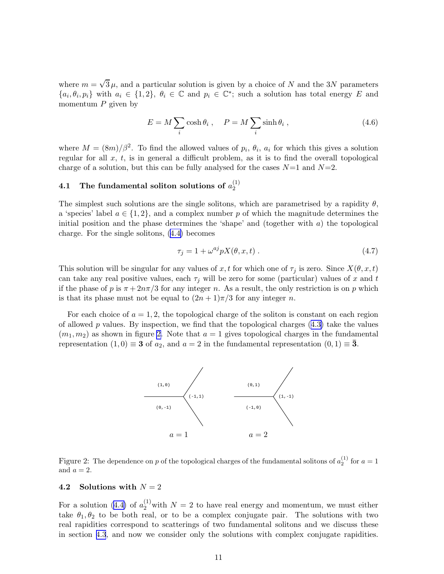where  $m = \sqrt{3}\mu$ , and a particular solution is given by a choice of N and the 3N parameters  $\{a_i, \theta_i, p_i\}$  with  $a_i \in \{1, 2\}, \theta_i \in \mathbb{C}$  and  $p_i \in \mathbb{C}^*$ ; such a solution has total energy E and momentum  $P$  given by

$$
E = M \sum_{i} \cosh \theta_i , \quad P = M \sum_{i} \sinh \theta_i , \qquad (4.6)
$$

where  $M = (8m)/\beta^2$ . To find the allowed values of  $p_i$ ,  $\theta_i$ ,  $a_i$  for which this gives a solution regular for all  $x, t$ , is in general a difficult problem, as it is to find the overall topological charge of a solution, but this can be fully analysed for the cases  $N=1$  and  $N=2$ .

#### 4.1 The fundamental soliton solutions of  $a_2^{(1)}$ 2

The simplest such solutions are the single solitons, which are parametrised by a rapidity  $\theta$ , a 'species' label  $a \in \{1,2\}$ , and a complex number p of which the magnitude determines the initial position and the phase determines the 'shape' and (together with  $a$ ) the topological charge. For the single solitons,([4.4\)](#page-10-0) becomes

$$
\tau_j = 1 + \omega^{aj} p X(\theta, x, t) \tag{4.7}
$$

This solution will be singular for any values of x, t for which one of  $\tau_j$  is zero. Since  $X(\theta, x, t)$ can take any real positive values, each  $\tau_i$  will be zero for some (particular) values of x and t if the phase of p is  $\pi + 2n\pi/3$  for any integer n. As a result, the only restriction is on p which is that its phase must not be equal to  $(2n+1)\pi/3$  for any integer n.

For each choice of  $a = 1, 2$ , the topological charge of the soliton is constant on each region ofallowed  $p$  values. By inspection, we find that the topological charges  $(4.3)$  $(4.3)$  take the values  $(m_1, m_2)$  as shown in figure 2. Note that  $a = 1$  gives topological charges in the fundamental representation  $(1,0) \equiv 3$  of  $a_2$ , and  $a = 2$  in the fundamental representation  $(0,1) \equiv \overline{3}$ .



Figure 2: The dependence on p of the topological charges of the fundamental solitons of  $a_2^{(1)}$  for  $a = 1$ and  $a = 2$ .

# 4.2 Solutions with  $N = 2$

Fora solution ([4.4\)](#page-10-0) of  $a_2^{(1)}$  with  $N = 2$  to have real energy and momentum, we must either take  $\theta_1, \theta_2$  to be both real, or to be a complex conjugate pair. The solutions with two real rapidities correspond to scatterings of two fundamental solitons and we discuss these in section [4.3](#page-12-0), and now we consider only the solutions with complex conjugate rapidities.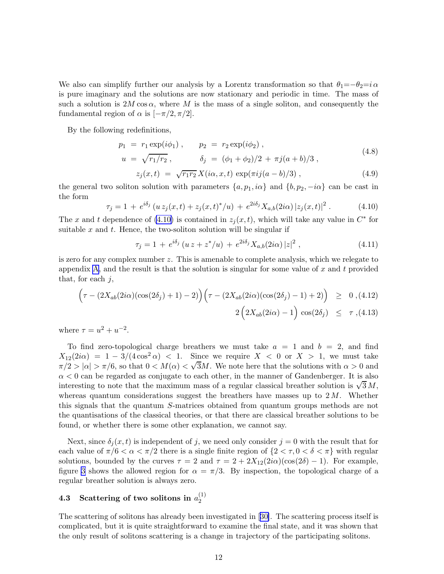<span id="page-12-0"></span>We also can simplify further our analysis by a Lorentz transformation so that  $\theta_1 = -\theta_2 = i \alpha$ is pure imaginary and the solutions are now stationary and periodic in time. The mass of such a solution is  $2M \cos \alpha$ , where M is the mass of a single soliton, and consequently the fundamental region of  $\alpha$  is  $[-\pi/2, \pi/2]$ .

By the following redefinitions,

$$
p_1 = r_1 \exp(i\phi_1), \qquad p_2 = r_2 \exp(i\phi_2),
$$
  
\n
$$
u = \sqrt{r_1/r_2}, \qquad \delta_j = (\phi_1 + \phi_2)/2 + \pi j(a+b)/3,
$$
\n(4.8)

$$
z_j(x,t) = \sqrt{r_1 r_2} X(i\alpha, x, t) \exp(\pi i j(a-b)/3), \qquad (4.9)
$$

the general two soliton solution with parameters  $\{a, p_1, i\alpha\}$  and  $\{b, p_2, -i\alpha\}$  can be cast in the form

$$
\tau_j = 1 + e^{i\delta_j} \left( u z_j(x, t) + z_j(x, t)^* / u \right) + e^{2i\delta_j} X_{a, b}(2i\alpha) |z_j(x, t)|^2.
$$
 (4.10)

The x and t dependence of (4.10) is contained in  $z_j(x,t)$ , which will take any value in  $C^*$  for suitable  $x$  and  $t$ . Hence, the two-soliton solution will be singular if

$$
\tau_j = 1 + e^{i\delta_j} \left( u \, z + z^* / u \right) + e^{2i\delta_j} X_{a,b}(2i\alpha) \, |z|^2 \,, \tag{4.11}
$$

is zero for any complex number z. This is amenable to complete analysis, which we relegate to appendix [A](#page-24-0), and the result is that the solution is singular for some value of  $x$  and  $t$  provided that, for each  $j$ ,

$$
\left(\tau - (2X_{ab}(2i\alpha)(\cos(2\delta_j) + 1) - 2)\right)\left(\tau - (2X_{ab}(2i\alpha)(\cos(2\delta_j) - 1) + 2)\right) \geq 0, (4.12)
$$
  
2  $\left(2X_{ab}(2i\alpha) - 1\right)\cos(2\delta_j) < \tau, (4.13)$ 

$$
2\left(2X_{ab}(2i\alpha) - 1\right)\cos(2\delta_j) \leq \tau, (4.13)
$$

where  $\tau = u^2 + u^{-2}$ .

To find zero-topological charge breathers we must take  $a = 1$  and  $b = 2$ , and find  $X_{12}(2i\alpha) = 1 - 3/(4\cos^2\alpha) < 1$ . Since we require  $X < 0$  or  $X > 1$ , we must take  $\pi/2 > |\alpha| > \pi/6$ , so that  $0 < M(\alpha) < \sqrt{3}M$ . We note here that the solutions with  $\alpha > 0$  and  $\alpha$  < 0 can be regarded as conjugate to each other, in the manner of Gandenberger. It is also interesting to note that the maximum mass of a regular classical breather solution is  $\sqrt{3}M$ , whereas quantum considerations suggest the breathers have masses up to  $2M$ . Whether this signals that the quantum S-matrices obtained from quantum groups methods are not the quantisations of the classical theories, or that there are classical breather solutions to be found, or whether there is some other explanation, we cannot say.

Next, since  $\delta_i(x, t)$  is independent of j, we need only consider  $j = 0$  with the result that for each value of  $\pi/6 < \alpha < \pi/2$  there is a single finite region of  $\{2 < \tau, 0 < \delta < \pi\}$  with regular solutions, bounded by the curves  $\tau = 2$  and  $\tau = 2 + 2X_{12}(2i\alpha)(\cos(2\delta) - 1)$ . For example, figure [3](#page-13-0) shows the allowed region for  $\alpha = \pi/3$ . By inspection, the topological charge of a regular breather solution is always zero.

#### 4.3 Scattering of two solitons in  $a_2^{(1)}$ 2

The scattering of solitons has already been investigated in [[30\]](#page-28-0). The scattering process itself is complicated, but it is quite straightforward to examine the final state, and it was shown that the only result of solitons scattering is a change in trajectory of the participating solitons.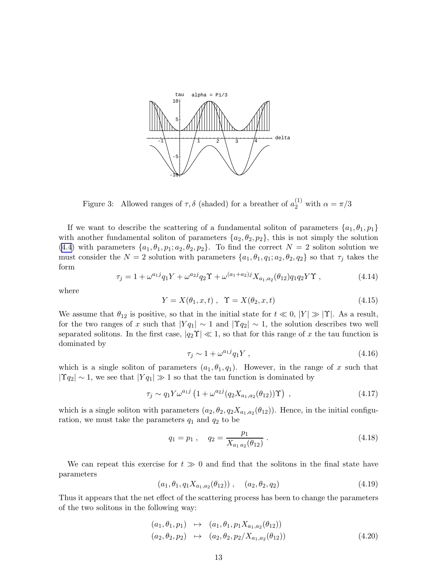<span id="page-13-0"></span>

Figure 3: Allowed ranges of  $\tau$ ,  $\delta$  (shaded) for a breather of  $a_2^{(1)}$  with  $\alpha = \pi/3$ 

If we want to describe the scattering of a fundamental soliton of parameters  $\{a_1, \theta_1, p_1\}$ with another fundamental soliton of parameters  $\{a_2, \theta_2, p_2\}$ , this is not simply the solution [\(4.4\)](#page-10-0) with parameters  $\{a_1, \theta_1, p_1; a_2, \theta_2, p_2\}$ . To find the correct  $N = 2$  soliton solution we must consider the  $N = 2$  solution with parameters  $\{a_1, \theta_1, q_1; a_2, \theta_2, q_2\}$  so that  $\tau_j$  takes the form

$$
\tau_j = 1 + \omega^{a_1 j} q_1 Y + \omega^{a_2 j} q_2 \Upsilon + \omega^{(a_1 + a_2) j} X_{a_1, a_2}(\theta_{12}) q_1 q_2 Y \Upsilon , \qquad (4.14)
$$

where

$$
Y = X(\theta_1, x, t), \quad \Upsilon = X(\theta_2, x, t) \tag{4.15}
$$

We assume that  $\theta_{12}$  is positive, so that in the initial state for  $t \ll 0, |Y| \gg |\Upsilon|$ . As a result, for the two ranges of x such that  $|Y_{q_1}| \sim 1$  and  $|\Upsilon_{q_2}| \sim 1$ , the solution describes two well separated solitons. In the first case,  $|q_2\Upsilon| \ll 1$ , so that for this range of x the tau function is dominated by

$$
\tau_j \sim 1 + \omega^{a_1 j} q_1 Y \,, \tag{4.16}
$$

which is a single soliton of parameters  $(a_1, \theta_1, q_1)$ . However, in the range of x such that  $|\Upsilon q_2| \sim 1$ , we see that  $|Y q_1| \gg 1$  so that the tau function is dominated by

$$
\tau_j \sim q_1 Y \omega^{a_1 j} \left( 1 + \omega^{a_2 j} (q_2 X_{a_1, a_2}(\theta_{12})) \Upsilon \right) , \qquad (4.17)
$$

which is a single soliton with parameters  $(a_2, \theta_2, q_2 X_{a_1, a_2}(\theta_{12}))$ . Hence, in the initial configuration, we must take the parameters  $q_1$  and  $q_2$  to be

$$
q_1 = p_1 \,, \quad q_2 = \frac{p_1}{X_{a_1 a_2}(\theta_{12})} \,. \tag{4.18}
$$

We can repeat this exercise for  $t \gg 0$  and find that the solitons in the final state have parameters

$$
(a_1, \theta_1, q_1 X_{a_1, a_2}(\theta_{12})), \quad (a_2, \theta_2, q_2)
$$
\n
$$
(4.19)
$$

Thus it appears that the net effect of the scattering process has been to change the parameters of the two solitons in the following way:

$$
(a_1, \theta_1, p_1) \mapsto (a_1, \theta_1, p_1 X_{a_1, a_2}(\theta_{12}))
$$
  
\n
$$
(a_2, \theta_2, p_2) \mapsto (a_2, \theta_2, p_2 / X_{a_1, a_2}(\theta_{12}))
$$
\n(4.20)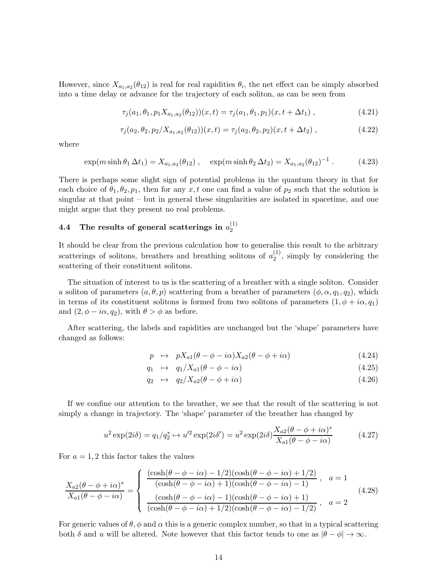However, since  $X_{a_1,a_2}(\theta_{12})$  is real for real rapidities  $\theta_i$ , the net effect can be simply absorbed into a time delay or advance for the trajectory of each soliton, as can be seen from

$$
\tau_j(a_1, \theta_1, p_1 X_{a_1, a_2}(\theta_{12}))(x, t) = \tau_j(a_1, \theta_1, p_1)(x, t + \Delta t_1) , \qquad (4.21)
$$

$$
\tau_j(a_2, \theta_2, p_2/X_{a_1, a_2}(\theta_{12}))(x, t) = \tau_j(a_2, \theta_2, p_2)(x, t + \Delta t_2), \qquad (4.22)
$$

where

$$
\exp(m\sinh\theta_1\,\Delta t_1) = X_{a_1,a_2}(\theta_{12})\,, \quad \exp(m\sinh\theta_2\,\Delta t_2) = X_{a_1,a_2}(\theta_{12})^{-1}\,. \tag{4.23}
$$

There is perhaps some slight sign of potential problems in the quantum theory in that for each choice of  $\theta_1, \theta_2, p_1$ , then for any x, t one can find a value of  $p_2$  such that the solution is singular at that point – but in general these singularities are isolated in spacetime, and one might argue that they present no real problems.

#### 4.4 The results of general scatterings in  $a_2^{(1)}$ 2

It should be clear from the previous calculation how to generalise this result to the arbitrary scatterings of solitons, breathers and breathing solitons of  $a_2^{(1)}$  $2^{(1)}$ , simply by considering the scattering of their constituent solitons.

The situation of interest to us is the scattering of a breather with a single soliton. Consider a soliton of parameters  $(a, \theta, p)$  scattering from a breather of parameters  $(\phi, \alpha, q_1, q_2)$ , which in terms of its constituent solitons is formed from two solitons of parameters  $(1, \phi + i\alpha, q_1)$ and  $(2, \phi - i\alpha, q_2)$ , with  $\theta > \phi$  as before.

After scattering, the labels and rapidities are unchanged but the 'shape' parameters have changed as follows:

$$
p \mapsto pX_{a1}(\theta - \phi - i\alpha)X_{a2}(\theta - \phi + i\alpha) \tag{4.24}
$$

$$
q_1 \quad \mapsto \quad q_1/X_{a1}(\theta - \phi - i\alpha) \tag{4.25}
$$

$$
q_2 \quad \mapsto \quad q_2/X_{a2}(\theta - \phi + i\alpha) \tag{4.26}
$$

If we confine our attention to the breather, we see that the result of the scattering is not simply a change in trajectory. The 'shape' parameter of the breather has changed by

$$
u^{2} \exp(2i\delta) = q_{1}/q_{2}^{*} \mapsto u'^{2} \exp(2i\delta') = u^{2} \exp(2i\delta) \frac{X_{a2}(\theta - \phi + i\alpha)^{*}}{X_{a1}(\theta - \phi - i\alpha)}
$$
(4.27)

For  $a = 1, 2$  this factor takes the values

$$
\frac{X_{a2}(\theta - \phi + i\alpha)^*}{X_{a1}(\theta - \phi - i\alpha)} = \begin{cases}\n\frac{(\cosh(\theta - \phi - i\alpha) - 1/2)(\cosh(\theta - \phi - i\alpha) + 1/2)}{(\cosh(\theta - \phi - i\alpha) + 1)(\cosh(\theta - \phi - i\alpha) - 1)}, & a = 1 \\
\frac{(\cosh(\theta - \phi - i\alpha) - 1)(\cosh(\theta - \phi - i\alpha) + 1)}{(\cosh(\theta - \phi - i\alpha) + 1/2)(\cosh(\theta - \phi - i\alpha) - 1/2)}, & a = 2\n\end{cases}
$$
\n(4.28)

For generic values of  $\theta$ ,  $\phi$  and  $\alpha$  this is a generic complex number, so that in a typical scattering both  $\delta$  and u will be altered. Note however that this factor tends to one as  $|\theta - \phi| \to \infty$ .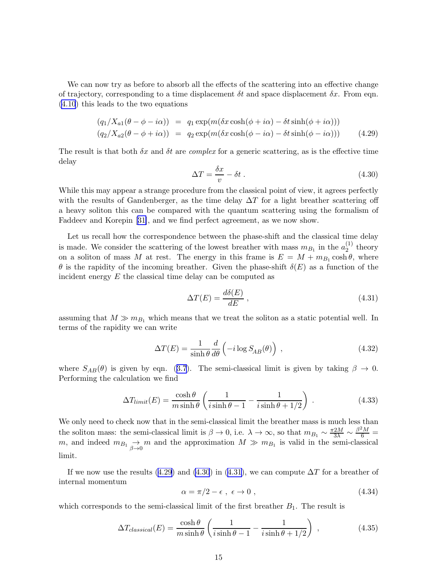<span id="page-15-0"></span>We can now try as before to absorb all the effects of the scattering into an effective change of trajectory, corresponding to a time displacement  $\delta t$  and space displacement  $\delta x$ . From eqn. [\(4.10](#page-12-0)) this leads to the two equations

$$
(q_1/X_{a1}(\theta - \phi - i\alpha)) = q_1 \exp(m(\delta x \cosh(\phi + i\alpha) - \delta t \sinh(\phi + i\alpha)))
$$
  

$$
(q_2/X_{a2}(\theta - \phi + i\alpha)) = q_2 \exp(m(\delta x \cosh(\phi - i\alpha) - \delta t \sinh(\phi - i\alpha)))
$$
 (4.29)

The result is that both  $\delta x$  and  $\delta t$  are *complex* for a generic scattering, as is the effective time delay

$$
\Delta T = \frac{\delta x}{v} - \delta t \tag{4.30}
$$

While this may appear a strange procedure from the classical point of view, it agrees perfectly with the results of Gandenberger, as the time delay  $\Delta T$  for a light breather scattering off a heavy soliton this can be compared with the quantum scattering using the formalism of Faddeev and Korepin[[31\]](#page-28-0), and we find perfect agreement, as we now show.

Let us recall how the correspondence between the phase-shift and the classical time delay is made. We consider the scattering of the lowest breather with mass  $m_{B_1}$  in the  $a_2^{(1)}$  $_2^{(1)}$  theory on a soliton of mass M at rest. The energy in this frame is  $E = M + m_{B_1} \cosh \theta$ , where  $\theta$  is the rapidity of the incoming breather. Given the phase-shift  $\delta(E)$  as a function of the incident energy E the classical time delay can be computed as

$$
\Delta T(E) = \frac{d\delta(E)}{dE} \,,\tag{4.31}
$$

assuming that  $M \gg m_{B_1}$  which means that we treat the soliton as a static potential well. In terms of the rapidity we can write

$$
\Delta T(E) = \frac{1}{\sinh \theta} \frac{d}{d\theta} \left( -i \log S_{AB}(\theta) \right) , \qquad (4.32)
$$

where $S_{AB}(\theta)$  is given by eqn. ([3.7](#page-9-0)). The semi-classical limit is given by taking  $\beta \to 0$ . Performing the calculation we find

$$
\Delta T_{limit}(E) = \frac{\cosh \theta}{m \sinh \theta} \left( \frac{1}{i \sinh \theta - 1} - \frac{1}{i \sinh \theta + 1/2} \right) . \tag{4.33}
$$

We only need to check now that in the semi-classical limit the breather mass is much less than the soliton mass: the semi-classical limit is  $\beta \to 0$ , i.e.  $\lambda \to \infty$ , so that  $m_{B_1} \sim \frac{\pi_2 M}{3\lambda} \sim \frac{\beta^2 M}{6} =$ m, and indeed  $m_{B_1} \nightharpoonup m$  and the approximation  $M \gg m_{B_1}$  is valid in the semi-classical limit.

If we now use the results (4.29) and (4.30) in (4.31), we can compute  $\Delta T$  for a breather of internal momentum

$$
\alpha = \pi/2 - \epsilon \ , \ \epsilon \to 0 \ , \tag{4.34}
$$

which corresponds to the semi-classical limit of the first breather  $B_1$ . The result is

$$
\Delta T_{classical}(E) = \frac{\cosh\theta}{m\sinh\theta} \left( \frac{1}{i\sinh\theta - 1} - \frac{1}{i\sinh\theta + 1/2} \right) ,\qquad (4.35)
$$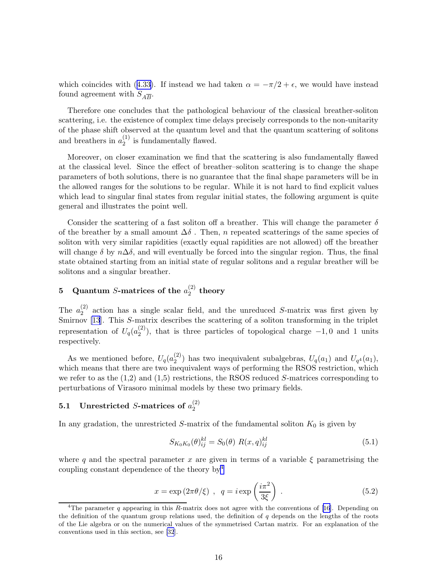whichcoincides with ([4.33\)](#page-15-0). If instead we had taken  $\alpha = -\pi/2 + \epsilon$ , we would have instead found agreement with  $S_{A\overline{B}}$ .

Therefore one concludes that the pathological behaviour of the classical breather-soliton scattering, i.e. the existence of complex time delays precisely corresponds to the non-unitarity of the phase shift observed at the quantum level and that the quantum scattering of solitons and breathers in  $a_2^{(1)}$  $i<sub>2</sub>$  is fundamentally flawed.

Moreover, on closer examination we find that the scattering is also fundamentally flawed at the classical level. Since the effect of breather–soliton scattering is to change the shape parameters of both solutions, there is no guarantee that the final shape parameters will be in the allowed ranges for the solutions to be regular. While it is not hard to find explicit values which lead to singular final states from regular initial states, the following argument is quite general and illustrates the point well.

Consider the scattering of a fast soliton off a breather. This will change the parameter  $\delta$ of the breather by a small amount  $\Delta\delta$ . Then, n repeated scatterings of the same species of soliton with very similar rapidities (exactly equal rapidities are not allowed) off the breather will change  $\delta$  by  $n\Delta\delta$ , and will eventually be forced into the singular region. Thus, the final state obtained starting from an initial state of regular solitons and a regular breather will be solitons and a singular breather.

#### 5 Quantum S-matrices of the  $a_2^{(2)}$  $2^{(2)}$  theory

The  $a_2^{(2)}$  $2^{2}$  action has a single scalar field, and the unreduced S-matrix was first given by Smirnov  $[13]$ . This S-matrix describes the scattering of a soliton transforming in the triplet representation of  $U_q(a_2^{(2)})$  $\binom{2}{2}$ , that is three particles of topological charge  $-1,0$  and 1 units respectively.

As we mentioned before,  $U_q(a_2^{(2)})$  $\binom{2}{2}$  has two inequivalent subalgebras,  $U_q(a_1)$  and  $U_{q^4}(a_1)$ , which means that there are two inequivalent ways of performing the RSOS restriction, which we refer to as the  $(1,2)$  and  $(1,5)$  restrictions, the RSOS reduced S-matrices corresponding to perturbations of Virasoro minimal models by these two primary fields.

#### **5.1** Unrestricted S-matrices of  $a_2^{(2)}$ 2

In any gradation, the unrestricted S-matrix of the fundamental soliton  $K_0$  is given by

$$
S_{K_0K_0}(\theta)^{kl}_{ij} = S_0(\theta) R(x, q)^{kl}_{ij}
$$
\n(5.1)

where q and the spectral parameter x are given in terms of a variable  $\xi$  parametrising the coupling constant dependence of the theory by<sup>4</sup>

$$
x = \exp(2\pi\theta/\xi) , q = i \exp\left(\frac{i\pi^2}{3\xi}\right) .
$$
 (5.2)

<sup>&</sup>lt;sup>4</sup>The parameter q appearing in this R-matrix does not agree with the conventions of [\[16](#page-27-0)]. Depending on the definition of the quantum group relations used, the definition of  $q$  depends on the lengths of the roots of the Lie algebra or on the numerical values of the symmetrised Cartan matrix. For an explanation of the conventions used in this section, see [\[32](#page-28-0)].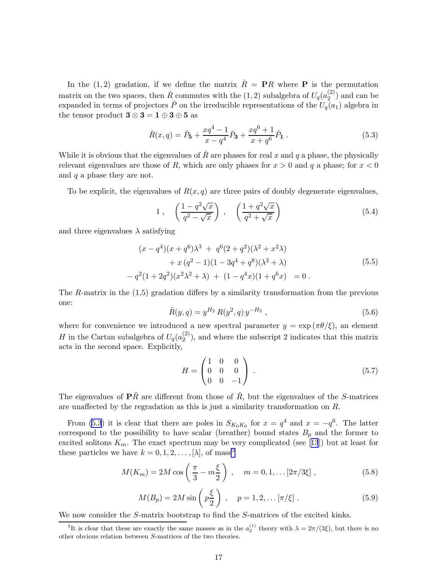<span id="page-17-0"></span>In the (1,2) gradation, if we define the matrix  $\tilde{R} = PR$  where **P** is the permutation matrix on the two spaces, then  $\check{R}$  commutes with the  $(1, 2)$  subalgebra of  $U_q(a_2^{(2)})$  $\binom{2}{2}$  and can be expanded in terms of projectors  $\check{P}$  on the irreducible representations of the  $U_q(a_1)$  algebra in the tensor product  $3 \otimes 3 = 1 \oplus 3 \oplus 5$  as

$$
\check{R}(x,q) = \check{P}_{5} + \frac{xq^{4} - 1}{x - q^{4}} \check{P}_{3} + \frac{xq^{6} + 1}{x + q^{6}} \check{P}_{1}.
$$
\n(5.3)

While it is obvious that the eigenvalues of  $R̃$  are phases for real x and q a phase, the physically relevant eigenvalues are those of R, which are only phases for  $x > 0$  and q a phase; for  $x < 0$ and  $q$  a phase they are not.

To be explicit, the eigenvalues of  $R(x, q)$  are three pairs of doubly degenerate eigenvalues,

$$
1\,,\quad \left(\frac{1-q^2\sqrt{x}}{q^2-\sqrt{x}}\right)\,,\quad \left(\frac{1+q^2\sqrt{x}}{q^2+\sqrt{x}}\right)\tag{5.4}
$$

and three eigenvalues  $\lambda$  satisfying

$$
(x - q4)(x + q6)\lambda3 + q6(2 + q2)(\lambda2 + x2\lambda)+ x (q2 - 1)(1 - 3q4 + q8)(\lambda2 + \lambda)- q2(1 + 2q2)(x2\lambda2 + \lambda) + (1 - q4x)(1 + q6x) = 0.
$$
\n(5.5)

The R-matrix in the (1,5) gradation differs by a similarity transformation from the previous one:

$$
\tilde{R}(y,q) = y^{H_2} R(y^2,q) y^{-H_2} , \qquad (5.6)
$$

where for convenience we introduced a new spectral parameter  $y = \exp(\pi \theta/\xi)$ , an element H in the Cartan subalgebra of  $U_q(a_2^{(2)})$  $\binom{2}{2}$ , and where the subscript 2 indicates that this matrix acts in the second space. Explicitly,

$$
H = \begin{pmatrix} 1 & 0 & 0 \\ 0 & 0 & 0 \\ 0 & 0 & -1 \end{pmatrix} . \tag{5.7}
$$

The eigenvalues of  $\tilde{P}R$ <sup>a</sup> are different from those of  $R$ , but the eigenvalues of the S-matrices are unaffected by the regradation as this is just a similarity transformation on R.

From (5.3) it is clear that there are poles in  $S_{K_0K_0}$  for  $x = q^4$  and  $x = -q^6$ . The latter correspond to the possibility to have scalar (breather) bound states  $B_p$  and the former to excitedsolitons  $K_m$ . The exact spectrum may be very complicated (see [[13](#page-27-0)]) but at least for these particles we have  $k = 0, 1, 2, \ldots, [\lambda]$ , of mass<sup>5</sup>

$$
M(K_m) = 2M \cos\left(\frac{\pi}{3} - m\frac{\xi}{2}\right) , \quad m = 0, 1, \dots [2\pi/3\xi] , \qquad (5.8)
$$

$$
M(B_p) = 2M \sin\left(p\frac{\xi}{2}\right) , \quad p = 1, 2, \dots [\pi/\xi].
$$
 (5.9)

We now consider the S-matrix bootstrap to find the S-matrices of the excited kinks.

<sup>&</sup>lt;sup>5</sup>It is clear that these are exactly the same masses as in the  $a_2^{(1)}$  theory with  $\lambda = 2\pi/(3\xi)$ , but there is no other obvious relation between S-matrices of the two theories.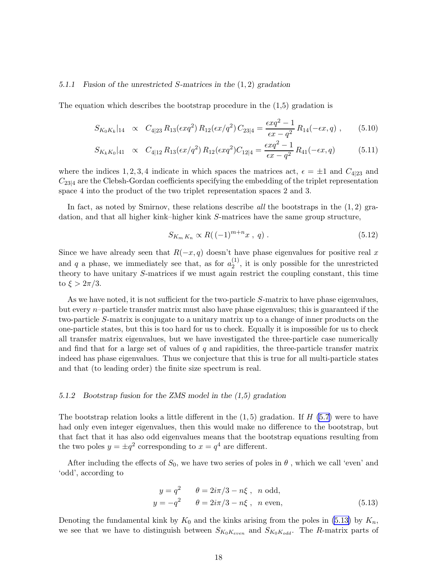# 5.1.1 Fusion of the unrestricted S-matrices in the (1, 2) gradation

The equation which describes the bootstrap procedure in the  $(1,5)$  gradation is

$$
S_{K_0K_k}|_{14} \propto C_{4|23} R_{13}(\epsilon x q^2) R_{12}(\epsilon x/q^2) C_{23|4} = \frac{\epsilon x q^2 - 1}{\epsilon x - q^2} R_{14}(-\epsilon x, q) , \qquad (5.10)
$$

$$
S_{K_k K_0}|_{41} \propto C_{4|12} R_{13}(\epsilon x/q^2) R_{12}(\epsilon x q^2) C_{12|4} = \frac{\epsilon x q^2 - 1}{\epsilon x - q^2} R_{41}(-\epsilon x, q)
$$
(5.11)

where the indices 1, 2, 3, 4 indicate in which spaces the matrices act,  $\epsilon = \pm 1$  and  $C_{4|23}$  and  $C_{23|4}$  are the Clebsh-Gordan coefficients specifying the embedding of the triplet representation space 4 into the product of the two triplet representation spaces 2 and 3.

In fact, as noted by Smirnov, these relations describe *all* the bootstraps in the  $(1, 2)$  gradation, and that all higher kink–higher kink S-matrices have the same group structure,

$$
S_{K_m K_n} \propto R((-1)^{m+n}x \, , \, q) \, . \tag{5.12}
$$

Since we have already seen that  $R(-x, q)$  doesn't have phase eigenvalues for positive real x and q a phase, we immediately see that, as for  $a_2^{(1)}$  $2^{(1)}$ , it is only possible for the unrestricted theory to have unitary S-matrices if we must again restrict the coupling constant, this time to  $\xi > 2\pi/3$ .

As we have noted, it is not sufficient for the two-particle S-matrix to have phase eigenvalues, but every n–particle transfer matrix must also have phase eigenvalues; this is guaranteed if the two-particle S-matrix is conjugate to a unitary matrix up to a change of inner products on the one-particle states, but this is too hard for us to check. Equally it is impossible for us to check all transfer matrix eigenvalues, but we have investigated the three-particle case numerically and find that for a large set of values of  $q$  and rapidities, the three-particle transfer matrix indeed has phase eigenvalues. Thus we conjecture that this is true for all multi-particle states and that (to leading order) the finite size spectrum is real.

# 5.1.2 Bootstrap fusion for the ZMS model in the (1,5) gradation

The bootstrap relation looks a little different in the  $(1, 5)$  gradation. If H  $(5.7)$  $(5.7)$  were to have had only even integer eigenvalues, then this would make no difference to the bootstrap, but that fact that it has also odd eigenvalues means that the bootstrap equations resulting from the two poles  $y = \pm q^2$  corresponding to  $x = q^4$  are different.

After including the effects of  $S_0$ , we have two series of poles in  $\theta$ , which we call 'even' and 'odd', according to

$$
y = q2 \qquad \theta = 2i\pi/3 - n\xi \ , \quad n \text{ odd},
$$
  

$$
y = -q2 \qquad \theta = 2i\pi/3 - n\xi \ , \quad n \text{ even},
$$
 (5.13)

Denoting the fundamental kink by  $K_0$  and the kinks arising from the poles in (5.13) by  $K_n$ , we see that we have to distinguish between  $S_{K_0K_{even}}$  and  $S_{K_0K_{odd}}$ . The R-matrix parts of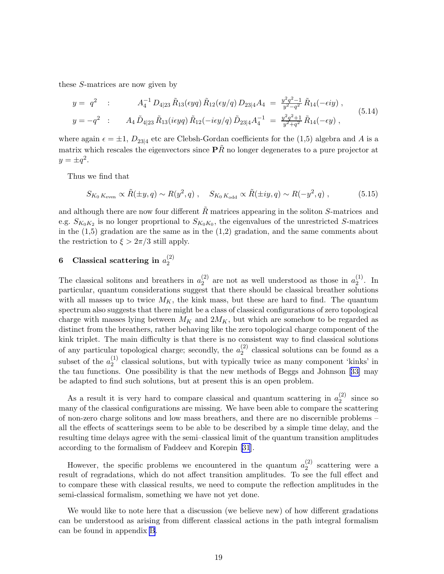<span id="page-19-0"></span>these S-matrices are now given by

$$
y = q^2 : A_4^{-1} D_{4|23} \tilde{R}_{13}(\epsilon yq) \tilde{R}_{12}(\epsilon y/q) D_{23|4} A_4 = \frac{y^2 q^2 - 1}{y^2 - q^2} \tilde{R}_{14}(-\epsilon iy) ,
$$
  
\n
$$
y = -q^2 : A_4 \tilde{D}_{4|23} \tilde{R}_{13}(\epsilon yq) \tilde{R}_{12}(-i\epsilon y/q) \tilde{D}_{23|4} A_4^{-1} = \frac{y^2 q^2 + 1}{y^2 + q^2} \tilde{R}_{14}(-\epsilon y) ,
$$
\n(5.14)

where again  $\epsilon = \pm 1$ ,  $D_{23|4}$  etc are Clebsh-Gordan coefficients for the (1,5) algebra and A is a matrix which rescales the eigenvectors since  $\mathbf{P}\tilde{R}$  no longer degenerates to a pure projector at  $y = \pm q^2$ .

Thus we find that

$$
S_{K_0 K_{\text{even}}} \propto \tilde{R}(\pm y, q) \sim R(y^2, q) , \quad S_{K_0 K_{\text{odd}}} \propto \tilde{R}(\pm iy, q) \sim R(-y^2, q) , \qquad (5.15)
$$

and although there are now four different  $R$  matrices appearing in the soliton  $S$ -matrices and e.g.  $S_{K_0K_2}$  is no longer proprtional to  $S_{K_0K_0}$ , the eigenvalues of the unrestricted S-matrices in the  $(1,5)$  gradation are the same as in the  $(1,2)$  gradation, and the same comments about the restriction to  $\xi > 2\pi/3$  still apply.

#### 6 Classical scattering in  $a_2^{(2)}$ 2

The classical solitons and breathers in  $a_2^{(2)}$  $\binom{2}{2}$  are not as well understood as those in  $a_2^{(1)}$  $_{2}^{\left( 1\right) }$ . In particular, quantum considerations suggest that there should be classical breather solutions with all masses up to twice  $M_K$ , the kink mass, but these are hard to find. The quantum spectrum also suggests that there might be a class of classical configurations of zero topological charge with masses lying between  $M_K$  and  $2M_K$ , but which are somehow to be regarded as distinct from the breathers, rather behaving like the zero topological charge component of the kink triplet. The main difficulty is that there is no consistent way to find classical solutions of any particular topological charge; secondly, the  $a_2^{(2)}$  $2^{(2)}$  classical solutions can be found as a subset of the  $a_2^{(1)}$  $2<sup>(1)</sup>$  classical solutions, but with typically twice as many component 'kinks' in the tau functions. One possibility is that the new methods of Beggs and Johnson[[33\]](#page-28-0) may be adapted to find such solutions, but at present this is an open problem.

As a result it is very hard to compare classical and quantum scattering in  $a_2^{(2)}$  $2^{(2)}$  since so many of the classical configurations are missing. We have been able to compare the scattering of non-zero charge solitons and low mass breathers, and there are no discernible problems – all the effects of scatterings seem to be able to be described by a simple time delay, and the resulting time delays agree with the semi–classical limit of the quantum transition amplitudes according to the formalism of Faddeev and Korepin [\[31](#page-28-0)].

However, the specific problems we encountered in the quantum  $a_2^{(2)}$  $2^{(2)}$  scattering were a result of regradations, which do not affect transition amplitudes. To see the full effect and to compare these with classical results, we need to compute the reflection amplitudes in the semi-classical formalism, something we have not yet done.

We would like to note here that a discussion (we believe new) of how different gradations can be understood as arising from different classical actions in the path integral formalism can be found in appendix [B](#page-25-0).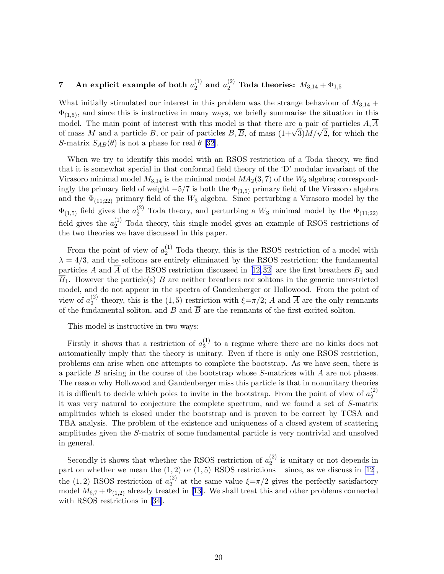#### <span id="page-20-0"></span>**7** An explicit example of both  $a_2^{(1)}$  $\mathcal{L}_2^{(1)}$  and  $a_2^{(2)}$  Toda theories:  $M_{3,14}+\Phi_{1,5}$

What initially stimulated our interest in this problem was the strange behaviour of  $M_{3,14}$  +  $\Phi_{(1,5)}$ , and since this is instructive in many ways, we briefly summarise the situation in this model. The main point of interest with this model is that there are a pair of particles  $A, \overline{A}$ of mass M and a particle B, or pair of particles  $B, \overline{B}$ , of mass  $(1+\sqrt{3})M/\sqrt{2}$ , for which the S-matrix  $S_{AB}(\theta)$  is not a phase for real  $\theta$  [\[32\]](#page-28-0).

When we try to identify this model with an RSOS restriction of a Toda theory, we find that it is somewhat special in that conformal field theory of the 'D' modular invariant of the Virasoro minimal model  $M_{3,14}$  is the minimal model  $MA_2(3, 7)$  of the  $W_3$  algebra; correspondingly the primary field of weight  $-5/7$  is both the  $\Phi_{(1,5)}$  primary field of the Virasoro algebra and the  $\Phi_{(11;22)}$  primary field of the  $W_3$  algebra. Since perturbing a Virasoro model by the  $\Phi_{(1,5)}$  field gives the  $a_2^{(2)}$  Toda theory, and perturbing a  $W_3$  minimal model by the  $\Phi_{(11;22)}$ field gives the  $a_2^{(1)}$  Toda theory, this single model gives an example of RSOS restrictions of the two theories we have discussed in this paper.

From the point of view of  $a_2^{(1)}$  Toda theory, this is the RSOS restriction of a model with  $\lambda = 4/3$ , and the solitons are entirely eliminated by the RSOS restriction; the fundamental particlesA and  $\overline{A}$  of the RSOS restriction discussed in [[12,](#page-27-0)32] are the first breathers  $B_1$  and  $\overline{B}_1$ . However the particle(s) B are neither breathers nor solitons in the generic unrestricted model, and do not appear in the spectra of Gandenberger or Hollowood. From the point of view of  $a_2^{(2)}$ <sup>(2)</sup> theory, this is the (1,5) restriction with  $\xi = \pi/2$ ; A and A are the only remnants of the fundamental soliton, and  $\overline{B}$  and  $\overline{B}$  are the remnants of the first excited soliton.

This model is instructive in two ways:

Firstly it shows that a restriction of  $a_2^{(1)}$  $t_2^{(1)}$  to a regime where there are no kinks does not automatically imply that the theory is unitary. Even if there is only one RSOS restriction, problems can arise when one attempts to complete the bootstrap. As we have seen, there is a particle B arising in the course of the bootstrap whose S-matrices with A are not phases. The reason why Hollowood and Gandenberger miss this particle is that in nonunitary theories it is difficult to decide which poles to invite in the bootstrap. From the point of view of  $a_2^{(2)}$ 2 it was very natural to conjecture the complete spectrum, and we found a set of S-matrix amplitudes which is closed under the bootstrap and is proven to be correct by TCSA and TBA analysis. The problem of the existence and uniqueness of a closed system of scattering amplitudes given the S-matrix of some fundamental particle is very nontrivial and unsolved in general.

Secondly it shows that whether the RSOS restriction of  $a_2^{(2)}$  $2^{(2)}$  is unitary or not depends in parton whether we mean the  $(1, 2)$  or  $(1, 5)$  RSOS restrictions – since, as we discuss in [[12\]](#page-27-0), the (1,2) RSOS restriction of  $a_2^{(2)}$  $\zeta_2^{(2)}$  at the same value  $\xi = \pi/2$  gives the perfectly satisfactory model $M_{6,7} + \Phi_{(1,2)}$  already treated in [[13\]](#page-27-0). We shall treat this and other problems connected with RSOS restrictions in [\[34](#page-28-0)].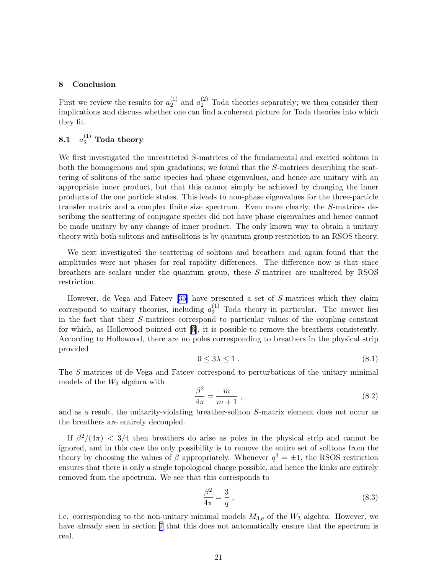# 8 Conclusion

First we review the results for  $a_2^{(1)}$  $2^{(1)}$  and  $a_2^{(2)}$  Toda theories separately; we then consider their implications and discuss whether one can find a coherent picture for Toda theories into which they fit.

#### $8.1$  $_2^{(1)}$  Toda theory

We first investigated the unrestricted S-matrices of the fundamental and excited solitons in both the homogenous and spin gradations; we found that the S-matrices describing the scattering of solitons of the same species had phase eigenvalues, and hence are unitary with an appropriate inner product, but that this cannot simply be achieved by changing the inner products of the one particle states. This leads to non-phase eigenvalues for the three-particle transfer matrix and a complex finite size spectrum. Even more clearly, the S-matrices describing the scattering of conjugate species did not have phase eigenvalues and hence cannot be made unitary by any change of inner product. The only known way to obtain a unitary theory with both solitons and antisolitons is by quantum group restriction to an RSOS theory.

We next investigated the scattering of solitons and breathers and again found that the amplitudes were not phases for real rapidity differences. The difference now is that since breathers are scalars under the quantum group, these S-matrices are unaltered by RSOS restriction.

However, de Vega and Fateev [\[35\]](#page-28-0) have presented a set of S-matrices which they claim correspond to unitary theories, including  $a_2^{(1)}$  Toda theory in particular. The answer lies in the fact that their S-matrices correspond to particular values of the coupling constant for which, as Hollowood pointed out [\[6\]](#page-27-0), it is possible to remove the breathers consistently. According to Hollowood, there are no poles corresponding to breathers in the physical strip provided

$$
0 \le 3\lambda \le 1 \tag{8.1}
$$

The S-matrices of de Vega and Fateev correspond to perturbations of the unitary minimal models of the  $W_3$  algebra with

$$
\frac{\beta^2}{4\pi} = \frac{m}{m+1},\tag{8.2}
$$

and as a result, the unitarity-violating breather-soliton S-matrix element does not occur as the breathers are entirely decoupled.

If  $\beta^2/(4\pi)$  < 3/4 then breathers do arise as poles in the physical strip and cannot be ignored, and in this case the only possibility is to remove the entire set of solitons from the theory by choosing the values of  $\beta$  appropriately. Whenever  $q^3 = \pm 1$ , the RSOS restriction ensures that there is only a single topological charge possible, and hence the kinks are entirely removed from the spectrum. We see that this corresponds to

$$
\frac{\beta^2}{4\pi} = \frac{3}{q},\tag{8.3}
$$

i.e. corresponding to the non-unitary minimal models  $M_{3,q}$  of the  $W_3$  algebra. However, we have already seen in section [7](#page-20-0) that this does not automatically ensure that the spectrum is real.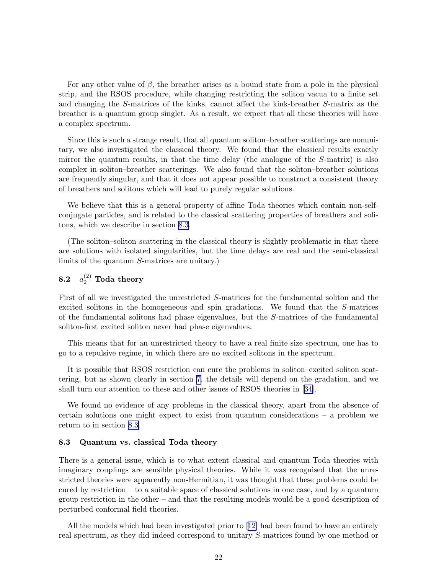For any other value of  $\beta$ , the breather arises as a bound state from a pole in the physical strip, and the RSOS procedure, while changing restricting the soliton vacua to a finite set and changing the S-matrices of the kinks, cannot affect the kink-breather S-matrix as the breather is a quantum group singlet. As a result, we expect that all these theories will have a complex spectrum.

Since this is such a strange result, that all quantum soliton–breather scatterings are nonunitary, we also investigated the classical theory. We found that the classical results exactly mirror the quantum results, in that the time delay (the analogue of the S-matrix) is also complex in soliton–breather scatterings. We also found that the soliton–breather solutions are frequently singular, and that it does not appear possible to construct a consistent theory of breathers and solitons which will lead to purely regular solutions.

We believe that this is a general property of affine Toda theories which contain non-selfconjugate particles, and is related to the classical scattering properties of breathers and solitons, which we describe in section 8.3.

(The soliton–soliton scattering in the classical theory is slightly problematic in that there are solutions with isolated singularities, but the time delays are real and the semi-classical limits of the quantum S-matrices are unitary.)

#### 8.2 a  $_2^{(2)}$  Toda theory

First of all we investigated the unrestricted S-matrices for the fundamental soliton and the excited solitons in the homogeneous and spin gradations. We found that the S-matrices of the fundamental solitons had phase eigenvalues, but the S-matrices of the fundamental soliton-first excited soliton never had phase eigenvalues.

This means that for an unrestricted theory to have a real finite size spectrum, one has to go to a repulsive regime, in which there are no excited solitons in the spectrum.

It is possible that RSOS restriction can cure the problems in soliton–excited soliton scattering, but as shown clearly in section [7,](#page-20-0) the details will depend on the gradation, and we shall turn our attention to these and other issues of RSOS theories in[[34\]](#page-28-0).

We found no evidence of any problems in the classical theory, apart from the absence of certain solutions one might expect to exist from quantum considerations – a problem we return to in section 8.3.

# 8.3 Quantum vs. classical Toda theory

There is a general issue, which is to what extent classical and quantum Toda theories with imaginary couplings are sensible physical theories. While it was recognised that the unrestricted theories were apparently non-Hermitian, it was thought that these problems could be cured by restriction – to a suitable space of classical solutions in one case, and by a quantum group restriction in the other – and that the resulting models would be a good description of perturbed conformal field theories.

All the models which had been investigated prior to [\[12\]](#page-27-0) had been found to have an entirely real spectrum, as they did indeed correspond to unitary S-matrices found by one method or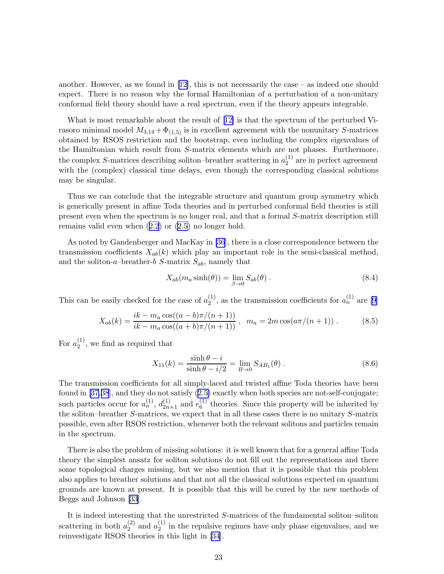another. However, as we found in  $[12]$ , this is not necessarily the case – as indeed one should expect. There is no reason why the formal Hamiltonian of a perturbation of a non-unitary conformal field theory should have a real spectrum, even if the theory appears integrable.

What is most remarkable about the result of[[12\]](#page-27-0) is that the spectrum of the perturbed Virasoro minimal model  $M_{3,14} + \Phi_{(1,5)}$  is in excellent agreement with the nonunitary S-matrices obtained by RSOS restriction and the bootstrap, even including the complex eigenvalues of the Hamiltonian which result from S-matrix elements which are not phases. Furthermore, the complex S-matrices describing soliton–breather scattering in  $a_2^{(1)}$  $2^{(1)}$  are in perfect agreement with the (complex) classical time delays, even though the corresponding classical solutions may be singular.

Thus we can conclude that the integrable structure and quantum group symmetry which is generically present in affine Toda theories and in perturbed conformal field theories is still present even when the spectrum is no longer real, and that a formal S-matrix description still remains valid even when([2.2](#page-3-0)) or [\(2.5\)](#page-3-0) no longer hold.

As noted by Gandenberger and MacKay in [\[36](#page-28-0)], there is a close correspondence between the transmission coefficients  $X_{ab}(k)$  which play an important role in the semi-classical method, and the soliton-a–breather-b S-matrix  $S_{ab}$ , namely that

$$
X_{ab}(m_a \sinh(\theta)) = \lim_{\beta \to 0} S_{ab}(\theta) . \tag{8.4}
$$

This can be easily checked for the case of  $a_2^{(1)}$  $2^{(1)}$ , as the transmission coefficients for  $a_n^{(1)}$  are [\[9\]](#page-27-0)

$$
X_{ab}(k) = \frac{ik - m_a \cos((a - b)\pi/(n + 1))}{ik - m_a \cos((a + b)\pi/(n + 1))}, \ \ m_a = 2m \cos(a\pi/(n + 1))
$$
 (8.5)

For  $a_2^{(1)}$  $2^{(1)}$ , we find as required that

$$
X_{11}(k) = \frac{\sinh \theta - i}{\sinh \theta - i/2} = \lim_{B \to 0} S_{AB_1}(\theta) .
$$
 (8.6)

The transmission coefficients for all simply-laced and twisted affine Toda theories have been found in [\[37](#page-28-0),[38](#page-28-0)], and they do not satisfy([2.5\)](#page-3-0) exactly when both species are not-self-conjugate; such particles occur for  $a_n^{(1)}$ ,  $d_{2n+1}^{(1)}$  and  $e_6^{(1)}$  $\binom{1}{6}$  theories. Since this property will be inherited by the soliton–breather S-matrices, we expect that in all these cases there is no unitary S-matrix possible, even after RSOS restriction, whenever both the relevant solitons and particles remain in the spectrum.

There is also the problem of missing solutions: it is well known that for a general affine Toda theory the simplest ansatz for soliton solutions do not fill out the representations and there some topological charges missing, but we also mention that it is possible that this problem also applies to breather solutions and that not all the classical solutions expected on quantum grounds are known at present. It is possible that this will be cured by the new methods of Beggs and Johnson [\[33](#page-28-0)].

It is indeed interesting that the unrestricted S-matrices of the fundamental soliton–soliton scattering in both  $a_2^{(2)}$  $a_2^{(2)}$  and  $a_2^{(1)}$  $_2^{(1)}$  in the repulsive regimes have only phase eigenvalues, and we reinvestigate RSOS theories in this light in [\[34](#page-28-0)].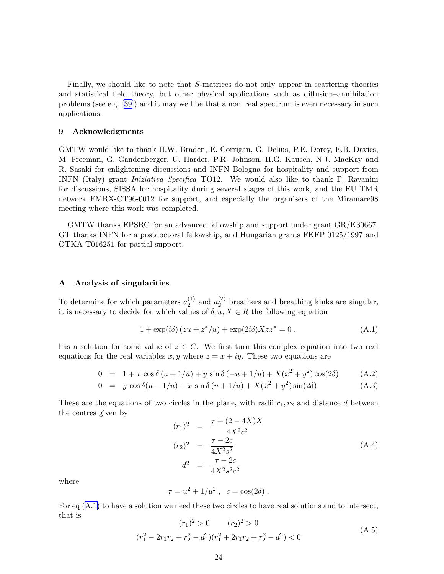<span id="page-24-0"></span>Finally, we should like to note that S-matrices do not only appear in scattering theories and statistical field theory, but other physical applications such as diffusion–annihilation problems (see e.g. [\[39](#page-28-0)]) and it may well be that a non–real spectrum is even necessary in such applications.

### 9 Acknowledgments

GMTW would like to thank H.W. Braden, E. Corrigan, G. Delius, P.E. Dorey, E.B. Davies, M. Freeman, G. Gandenberger, U. Harder, P.R. Johnson, H.G. Kausch, N.J. MacKay and R. Sasaki for enlightening discussions and INFN Bologna for hospitality and support from INFN (Italy) grant Iniziativa Specifica TO12. We would also like to thank F. Ravanini for discussions, SISSA for hospitality during several stages of this work, and the EU TMR network FMRX-CT96-0012 for support, and especially the organisers of the Miramare98 meeting where this work was completed.

GMTW thanks EPSRC for an advanced fellowship and support under grant GR/K30667. GT thanks INFN for a postdoctoral fellowship, and Hungarian grants FKFP 0125/1997 and OTKA T016251 for partial support.

### A Analysis of singularities

To determine for which parameters  $a_2^{(1)}$  $_2^{(1)}$  and  $a_2^{(2)}$  $_2^{(2)}$  breathers and breathing kinks are singular, it is necessary to decide for which values of  $\delta, u, X \in R$  the following equation

$$
1 + \exp(i\delta) (zu + z^*/u) + \exp(2i\delta)Xzz^* = 0 , \qquad (A.1)
$$

has a solution for some value of  $z \in C$ . We first turn this complex equation into two real equations for the real variables  $x, y$  where  $z = x + iy$ . These two equations are

$$
0 = 1 + x \cos \delta (u + 1/u) + y \sin \delta (-u + 1/u) + X(x^{2} + y^{2}) \cos(2\delta)
$$
 (A.2)

$$
0 = y \cos \delta(u - 1/u) + x \sin \delta(u + 1/u) + X(x^{2} + y^{2}) \sin(2\delta)
$$
 (A.3)

These are the equations of two circles in the plane, with radii  $r_1, r_2$  and distance d between the centres given by

$$
(r_1)^2 = \frac{\tau + (2 - 4X)X}{4X^2c^2}
$$
  
\n
$$
(r_2)^2 = \frac{\tau - 2c}{4X^2s^2}
$$
  
\n
$$
d^2 = \frac{\tau - 2c}{4X^2s^2c^2}
$$
\n(A.4)

where

$$
\tau = u^2 + 1/u^2
$$
,  $c = \cos(2\delta)$ .

For eq (A.1) to have a solution we need these two circles to have real solutions and to intersect, that is

$$
(r_1)^2 > 0 \t (r_2)^2 > 0
$$
  

$$
(r_1^2 - 2r_1r_2 + r_2^2 - d^2)(r_1^2 + 2r_1r_2 + r_2^2 - d^2) < 0
$$
 (A.5)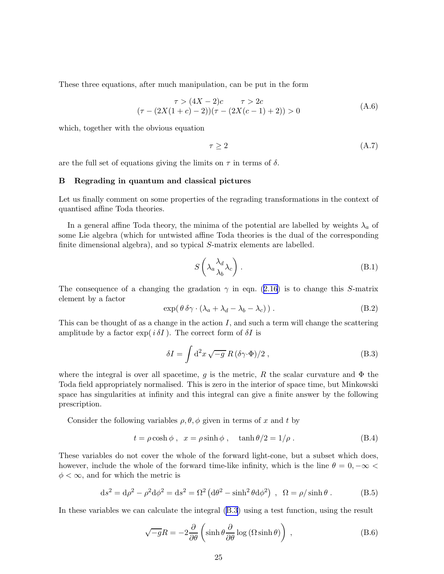<span id="page-25-0"></span>These three equations, after much manipulation, can be put in the form

$$
\tau > (4X - 2)c \qquad \tau > 2c
$$
  

$$
(\tau - (2X(1 + c) - 2))(\tau - (2X(c - 1) + 2)) > 0
$$
 (A.6)

which, together with the obvious equation

$$
\tau \ge 2\tag{A.7}
$$

are the full set of equations giving the limits on  $\tau$  in terms of  $\delta$ .

## B Regrading in quantum and classical pictures

Let us finally comment on some properties of the regrading transformations in the context of quantised affine Toda theories.

In a general affine Toda theory, the minima of the potential are labelled by weights  $\lambda_a$  of some Lie algebra (which for untwisted affine Toda theories is the dual of the corresponding finite dimensional algebra), and so typical S-matrix elements are labelled.

$$
S\left(\lambda_a \frac{\lambda_d}{\lambda_b} \lambda_c\right). \tag{B.1}
$$

Theconsequence of a changing the gradation  $\gamma$  in eqn. ([2.16\)](#page-7-0) is to change this S-matrix element by a factor

$$
\exp(\theta \,\delta \gamma \cdot (\lambda_a + \lambda_d - \lambda_b - \lambda_c))\,. \tag{B.2}
$$

This can be thought of as a change in the action  $I$ , and such a term will change the scattering amplitude by a factor  $\exp(i \delta I)$ . The correct form of  $\delta I$  is

$$
\delta I = \int d^2x \sqrt{-g} R (\delta \gamma \cdot \Phi)/2 , \qquad (B.3)
$$

where the integral is over all spacetime, g is the metric, R the scalar curvature and  $\Phi$  the Toda field appropriately normalised. This is zero in the interior of space time, but Minkowski space has singularities at infinity and this integral can give a finite answer by the following prescription.

Consider the following variables  $\rho, \theta, \phi$  given in terms of x and t by

$$
t = \rho \cosh \phi , \quad x = \rho \sinh \phi , \quad \tanh \theta/2 = 1/\rho . \tag{B.4}
$$

These variables do not cover the whole of the forward light-cone, but a subset which does, however, include the whole of the forward time-like infinity, which is the line  $\theta = 0, -\infty$  $\phi < \infty$ , and for which the metric is

$$
ds^{2} = d\rho^{2} - \rho^{2}d\phi^{2} = ds^{2} = \Omega^{2} (d\theta^{2} - \sinh^{2}\theta d\phi^{2}), \ \Omega = \rho/\sinh\theta.
$$
 (B.5)

In these variables we can calculate the integral (B.3) using a test function, using the result

$$
\sqrt{-g}R = -2\frac{\partial}{\partial\theta}\left(\sinh\theta\frac{\partial}{\partial\theta}\log\left(\Omega\sinh\theta\right)\right) ,\qquad (B.6)
$$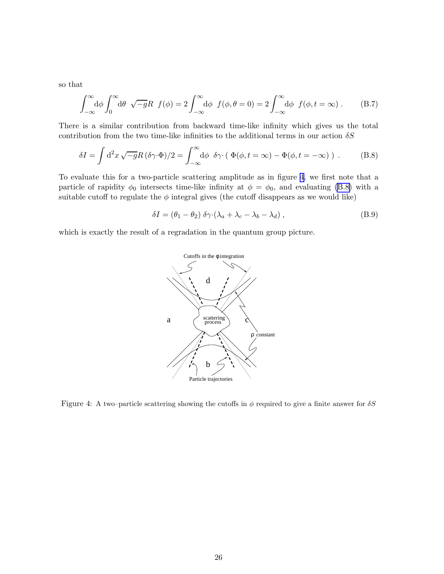so that

$$
\int_{-\infty}^{\infty} d\phi \int_{0}^{\infty} d\theta \sqrt{-g}R \ f(\phi) = 2 \int_{-\infty}^{\infty} d\phi \ f(\phi, \theta = 0) = 2 \int_{-\infty}^{\infty} d\phi \ f(\phi, t = \infty).
$$
 (B.7)

There is a similar contribution from backward time-like infinity which gives us the total contribution from the two time-like infinities to the additional terms in our action  $\delta S$ 

$$
\delta I = \int d^2x \sqrt{-g} R (\delta \gamma \cdot \Phi)/2 = \int_{-\infty}^{\infty} d\phi \ \delta \gamma \cdot (\ \Phi(\phi, t = \infty) - \Phi(\phi, t = -\infty) \ ) . \tag{B.8}
$$

To evaluate this for a two-particle scattering amplitude as in figure 4, we first note that a particle of rapidity  $\phi_0$  intersects time-like infinity at  $\phi = \phi_0$ , and evaluating (B.8) with a suitable cutoff to regulate the  $\phi$  integral gives (the cutoff disappears as we would like)

$$
\delta I = (\theta_1 - \theta_2) \delta \gamma \cdot (\lambda_a + \lambda_c - \lambda_b - \lambda_d) , \qquad (B.9)
$$

which is exactly the result of a regradation in the quantum group picture.



Figure 4: A two–particle scattering showing the cutoffs in  $\phi$  required to give a finite answer for  $\delta S$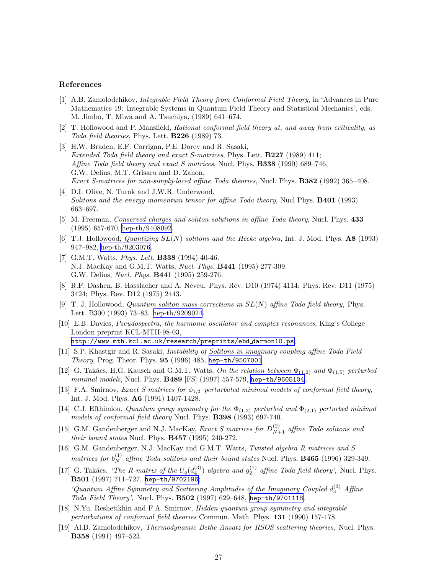### <span id="page-27-0"></span>References

- [1] A.B. Zamolodchikov, Integrable Field Theory from Conformal Field Theory, in 'Advances in Pure Mathematics 19: Integrable Systems in Quantum Field Theory and Statistical Mechanics', eds. M. Jimbo, T. Miwa and A. Tsuchiya, (1989) 641–674.
- [2] T. Hollowood and P. Mansfield, Rational conformal field theory at, and away from criticality, as Toda field theories, Phys. Lett. B226 (1989) 73.
- [3] H.W. Braden, E.F. Corrigan, P.E. Dorey and R. Sasaki, Extended Toda field theory and exact S-matrices, Phys. Lett. B227 (1989) 411; Affine Toda field theory and exact S matrices, Nucl. Phys. B338 (1990) 689–746, G.W. Delius, M.T. Grisaru and D. Zanon, Exact S-matrices for non-simply-laced affine Toda theories, Nucl. Phys. B382 (1992) 365–408.
- [4] D.I. Olive, N. Turok and J.W.R. Underwood, Solitons and the energy momentum tensor for affine Toda theory, Nucl Phys. **B401** (1993) 663–697.
- [5] M. Freeman, Conserved charges and soliton solutions in affine Toda theory, Nucl. Phys. 433 (1995) 657-670, [hep-th/9408092.](http://arxiv.org/abs/hep-th/9408092)
- [6] T.J. Hollowood, Quantizing  $SL(N)$  solitons and the Hecke algebra, Int. J. Mod. Phys. A8 (1993) 947–982, [hep-th/9203076](http://arxiv.org/abs/hep-th/9203076).
- [7] G.M.T. Watts, *Phys. Lett.* **B338** (1994) 40-46. N.J. MacKay and G.M.T. Watts, Nucl. Phys. B441 (1995) 277-309. G.W. Delius, Nucl. Phys. B441 (1995) 259-276.
- [8] R.F. Dashen, B. Hasslacher and A. Neveu, Phys. Rev. D10 (1974) 4114; Phys. Rev. D11 (1975) 3424; Phys. Rev. D12 (1975) 2443.
- [9] T. J. Hollowood, Quantum soliton mass corrections in  $SL(N)$  affine Toda field theory, Phys. Lett. B300 (1993) 73–83, [hep-th/9209024](http://arxiv.org/abs/hep-th/9209024).
- [10] E.B. Davies, Pseudospectra, the harmonic oscillator and complex resonances, King's College London preprint KCL-MTH-98-03, [http://www.mth.kcl.ac.uk/research/preprints/ebd](http://www.mth.kcl.ac.uk/research/preprints/ebd_darmon10.ps) darmon10.ps,
- [11] S.P. Khastgir and R. Sasaki, Instability of Solitons in imaginary coupling affine Toda Field Theory, Prog. Theor. Phys. 95 (1996) 485, [hep-th/9507001](http://arxiv.org/abs/hep-th/9507001).
- [12] G. Takács, H.G. Kausch and G.M.T. Watts, On the relation between  $\Phi_{(1,2)}$  and  $\Phi_{(1,5)}$  perturbed minimal models, Nucl. Phys. B489 [FS] (1997) 557-579, [hep-th/9605104.](http://arxiv.org/abs/hep-th/9605104)
- [13] F.A. Smirnov, Exact S matrices for  $\phi_{1,2}$ -perturbated minimal models of conformal field theory, Int. J. Mod. Phys. A6 (1991) 1407-1428.
- [14] C.J. Efthimiou, Quantum group symmetry for the  $\Phi_{(1,2)}$  perturbed and  $\Phi_{(2,1)}$  perturbed minimal models of conformal field theory Nucl. Phys. B398 (1993) 697-740.
- [15] G.M. Gandenberger and N.J. MacKay, *Exact S matrices for*  $D_{N+1}^{(2)}$  affine Toda solitons and their bound states Nucl. Phys.  $B457$  (1995) 240-272.
- [16] G.M. Gandenberger, N.J. MacKay and G.M.T. Watts, Twisted algebra R matrices and S matrices for  $b_N^{(1)}$  affine Toda solitons and their bound states Nucl. Phys. **B465** (1996) 329-349.
- [17] G. Takács, 'The R-matrix of the  $U_q(d_4^{(3)})$  algebra and  $g_2^{(1)}$  affine Toda field theory', Nucl. Phys. B501 (1997) 711–727, [hep-th/9702196](http://arxiv.org/abs/hep-th/9702196); 'Quantum Affine Symmetry and Scattering Amplitudes of the Imaginary Coupled  $d_4^{(3)}$  Affine Toda Field Theory', Nucl. Phys. B502 (1997) 629–648, [hep-th/9701118](http://arxiv.org/abs/hep-th/9701118).
- [18] N.Yu. Reshetikhin and F.A. Smirnov, Hidden quantum group symmetry and integrable perturbations of conformal field theories Commun. Math. Phys. 131 (1990) 157-178.
- [19] Al.B. Zamolodchikov, Thermodynamic Bethe Ansatz for RSOS scattering theories, Nucl. Phys. B358 (1991) 497–523.